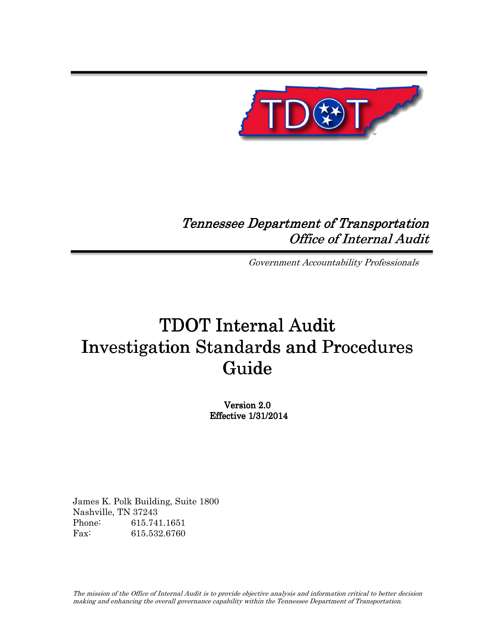

## Tennessee Department of Transportation Office of Internal Audit

Government Accountability Professionals

# TDOT Internal Audit Investigation Standards and Procedures Guide

Version 2.0 Effective Effective 1/31/2014

James K. Polk Building, Suite 1800 Nashville, TN 37243 Phone: 615.741.1651 Fax: 615.532.6760

The mission of the Office of Internal Audit is to provide objective analysis and information critical to better decision making and enhancing the overall governance capability within the Tennessee Department of Transportation.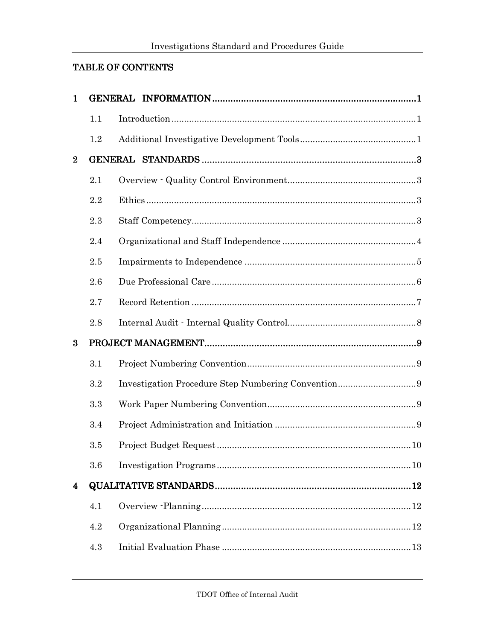## TABLE OF CONTENTS

| $\mathbf{1}$   |         |  |
|----------------|---------|--|
|                | 1.1     |  |
|                | $1.2\,$ |  |
| $\bf{2}$       |         |  |
|                | 2.1     |  |
|                | 2.2     |  |
|                | 2.3     |  |
|                | 2.4     |  |
|                | 2.5     |  |
|                | 2.6     |  |
|                | 2.7     |  |
|                | 2.8     |  |
| $\bf{3}$       |         |  |
|                | 3.1     |  |
|                | 3.2     |  |
|                | 3.3     |  |
|                | 3.4     |  |
|                | 3.5     |  |
|                | 3.6     |  |
| $\overline{4}$ |         |  |
|                | 4.1     |  |
|                | 4.2     |  |
|                | 4.3     |  |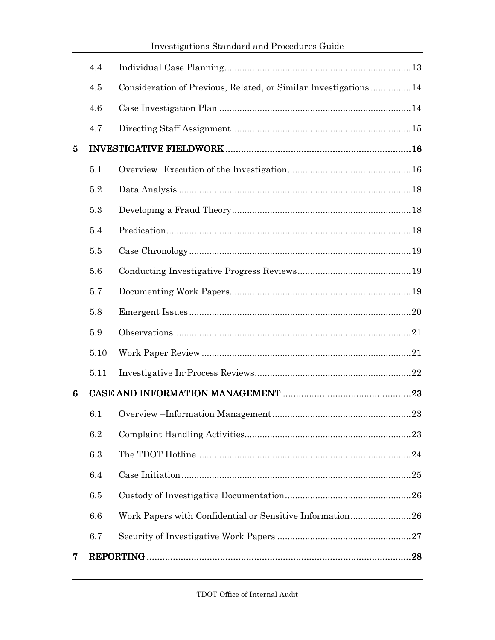|                |      | Investigations Standard and Procedures Guide                    |  |
|----------------|------|-----------------------------------------------------------------|--|
|                | 4.4  |                                                                 |  |
|                | 4.5  | Consideration of Previous, Related, or Similar Investigations14 |  |
|                | 4.6  |                                                                 |  |
|                | 4.7  |                                                                 |  |
| 5              |      |                                                                 |  |
|                | 5.1  |                                                                 |  |
|                | 5.2  |                                                                 |  |
|                | 5.3  |                                                                 |  |
|                | 5.4  |                                                                 |  |
|                | 5.5  |                                                                 |  |
|                | 5.6  |                                                                 |  |
|                | 5.7  |                                                                 |  |
|                | 5.8  |                                                                 |  |
|                | 5.9  |                                                                 |  |
|                | 5.10 |                                                                 |  |
|                | 5.11 |                                                                 |  |
| 6              |      |                                                                 |  |
|                | 6.1  |                                                                 |  |
|                | 6.2  |                                                                 |  |
|                | 6.3  |                                                                 |  |
|                | 6.4  |                                                                 |  |
|                | 6.5  |                                                                 |  |
|                | 6.6  | Work Papers with Confidential or Sensitive Information26        |  |
|                | 6.7  |                                                                 |  |
| $\overline{7}$ |      |                                                                 |  |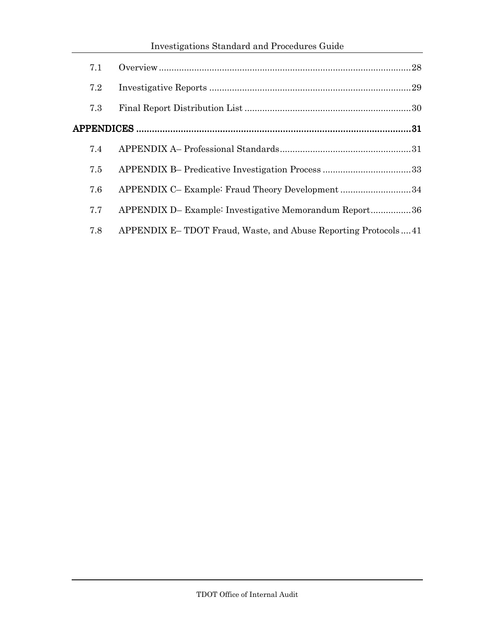## Investigations Standard and Procedures Guide

| 7.1 |                                                               |  |
|-----|---------------------------------------------------------------|--|
| 7.2 |                                                               |  |
| 7.3 |                                                               |  |
|     |                                                               |  |
| 7.4 |                                                               |  |
| 7.5 |                                                               |  |
| 7.6 | APPENDIX C- Example: Fraud Theory Development34               |  |
| 7.7 | APPENDIX D- Example: Investigative Memorandum Report36        |  |
| 7.8 | APPENDIX E-TDOT Fraud, Waste, and Abuse Reporting Protocols41 |  |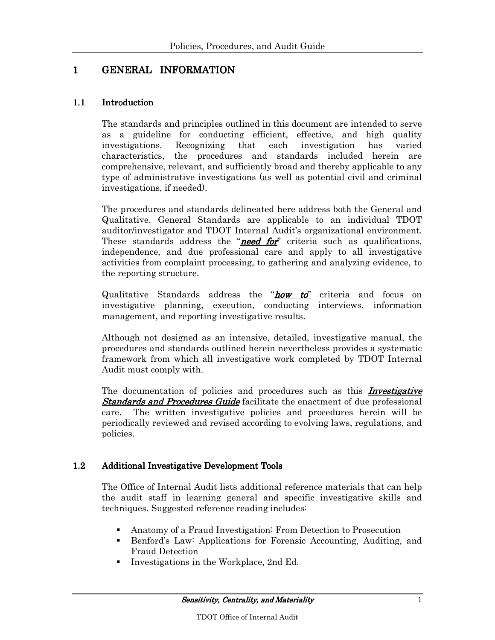## 1 GENERAL INFORMATION

#### 1.1 Introduction

The standards and principles outlined in this document are intended to serve as a guideline for conducting efficient, effective, and high quality investigations. Recognizing that each investigation has varied characteristics, the procedures and standards included herein are comprehensive, relevant, and sufficiently broad and thereby applicable to any type of administrative investigations (as well as potential civil and criminal investigations, if needed).

The procedures and standards delineated here address both the General and Qualitative. General Standards are applicable to an individual TDOT auditor/investigator and TDOT Internal Audit's organizational environment. These standards address the "**need for**" criteria such as qualifications, independence, and due professional care and apply to all investigative activities from complaint processing, to gathering and analyzing evidence, to the reporting structure.

Qualitative Standards address the "**how to**" criteria and focus on investigative planning, execution, conducting interviews, information management, and reporting investigative results.

Although not designed as an intensive, detailed, investigative manual, the procedures and standards outlined herein nevertheless provides a systematic framework from which all investigative work completed by TDOT Internal Audit must comply with.

The documentation of policies and procedures such as this *Investigative* **Standards and Procedures Guide** facilitate the enactment of due professional care. The written investigative policies and procedures herein will be periodically reviewed and revised according to evolving laws, regulations, and policies.

#### 1.2 Additional Investigative Development Tools

The Office of Internal Audit lists additional reference materials that can help the audit staff in learning general and specific investigative skills and techniques. Suggested reference reading includes:

- Anatomy of a Fraud Investigation: From Detection to Prosecution
- Benford's Law: Applications for Forensic Accounting, Auditing, and Fraud Detection
- Investigations in the Workplace, 2nd Ed.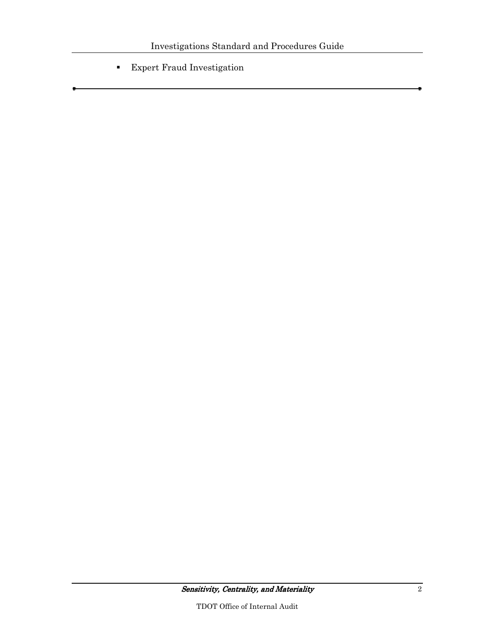Expert Fraud Investigation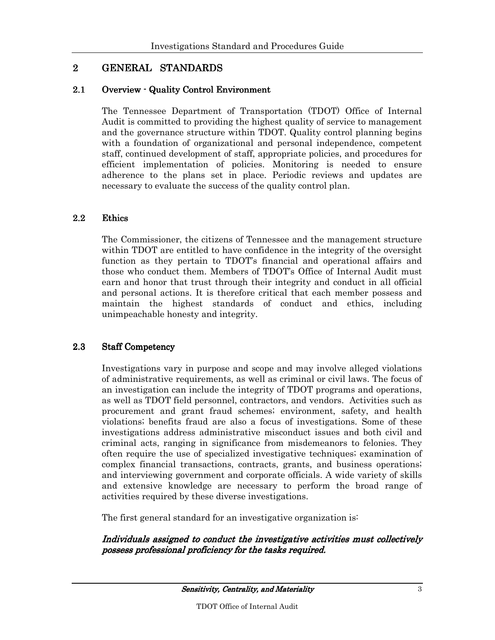## 2 GENERAL STANDARDS

#### 2.1 Overview - Quality Control Environment

The Tennessee Department of Transportation (TDOT) Office of Internal Audit is committed to providing the highest quality of service to management and the governance structure within TDOT. Quality control planning begins with a foundation of organizational and personal independence, competent staff, continued development of staff, appropriate policies, and procedures for efficient implementation of policies. Monitoring is needed to ensure adherence to the plans set in place. Periodic reviews and updates are necessary to evaluate the success of the quality control plan.

#### 2.2 Ethics

The Commissioner, the citizens of Tennessee and the management structure within TDOT are entitled to have confidence in the integrity of the oversight function as they pertain to TDOT's financial and operational affairs and those who conduct them. Members of TDOT's Office of Internal Audit must earn and honor that trust through their integrity and conduct in all official and personal actions. It is therefore critical that each member possess and maintain the highest standards of conduct and ethics, including unimpeachable honesty and integrity.

#### 2.3 Staff Competency

Investigations vary in purpose and scope and may involve alleged violations of administrative requirements, as well as criminal or civil laws. The focus of an investigation can include the integrity of TDOT programs and operations, as well as TDOT field personnel, contractors, and vendors. Activities such as procurement and grant fraud schemes; environment, safety, and health violations; benefits fraud are also a focus of investigations. Some of these investigations address administrative misconduct issues and both civil and criminal acts, ranging in significance from misdemeanors to felonies. They often require the use of specialized investigative techniques; examination of complex financial transactions, contracts, grants, and business operations; and interviewing government and corporate officials. A wide variety of skills and extensive knowledge are necessary to perform the broad range of activities required by these diverse investigations.

The first general standard for an investigative organization is:

Individuals assigned to conduct the investigative activities must collectively possess professional proficiency for the tasks required.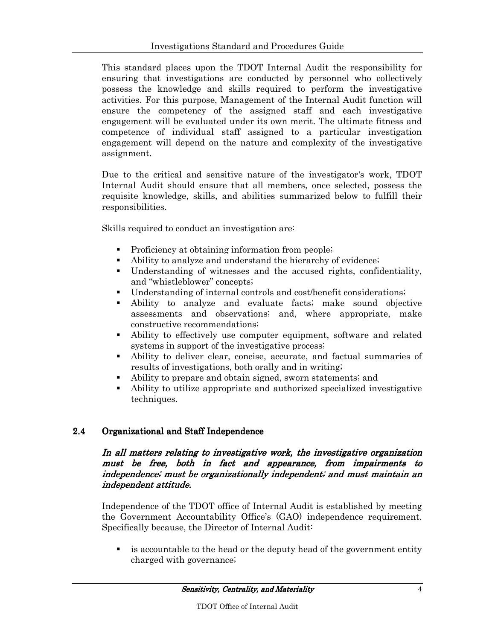This standard places upon the TDOT Internal Audit the responsibility for ensuring that investigations are conducted by personnel who collectively possess the knowledge and skills required to perform the investigative activities. For this purpose, Management of the Internal Audit function will ensure the competency of the assigned staff and each investigative engagement will be evaluated under its own merit. The ultimate fitness and competence of individual staff assigned to a particular investigation engagement will depend on the nature and complexity of the investigative assignment.

Due to the critical and sensitive nature of the investigator's work, TDOT Internal Audit should ensure that all members, once selected, possess the requisite knowledge, skills, and abilities summarized below to fulfill their responsibilities.

Skills required to conduct an investigation are:

- Proficiency at obtaining information from people;
- Ability to analyze and understand the hierarchy of evidence;
- Understanding of witnesses and the accused rights, confidentiality, and "whistleblower" concepts;
- Understanding of internal controls and cost/benefit considerations;
- Ability to analyze and evaluate facts; make sound objective assessments and observations; and, where appropriate, make constructive recommendations;
- Ability to effectively use computer equipment, software and related systems in support of the investigative process;
- Ability to deliver clear, concise, accurate, and factual summaries of results of investigations, both orally and in writing;
- Ability to prepare and obtain signed, sworn statements; and
- Ability to utilize appropriate and authorized specialized investigative techniques.

#### 2.4 Organizational and Staff Independence

#### In all matters relating to investigative work, the investigative organization must be free, both in fact and appearance, from impairments to independence; must be organizationally independent; and must maintain an independent attitude.

Independence of the TDOT office of Internal Audit is established by meeting the Government Accountability Office's (GAO) independence requirement. Specifically because, the Director of Internal Audit:

 is accountable to the head or the deputy head of the government entity charged with governance;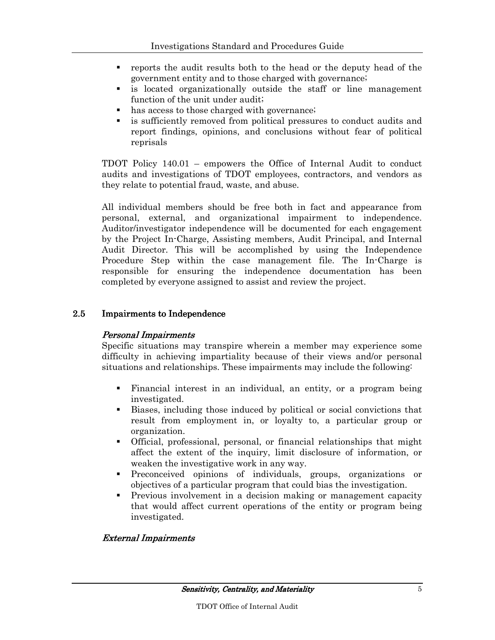- reports the audit results both to the head or the deputy head of the government entity and to those charged with governance;
- is located organizationally outside the staff or line management function of the unit under audit;
- has access to those charged with governance;
- is sufficiently removed from political pressures to conduct audits and report findings, opinions, and conclusions without fear of political reprisals

TDOT Policy 140.01 – empowers the Office of Internal Audit to conduct audits and investigations of TDOT employees, contractors, and vendors as they relate to potential fraud, waste, and abuse.

All individual members should be free both in fact and appearance from personal, external, and organizational impairment to independence. Auditor/investigator independence will be documented for each engagement by the Project In-Charge, Assisting members, Audit Principal, and Internal Audit Director. This will be accomplished by using the Independence Procedure Step within the case management file. The In-Charge is responsible for ensuring the independence documentation has been completed by everyone assigned to assist and review the project.

#### 2.5 Impairments to Independence

#### Personal Impairments Personal Impairments

Specific situations may transpire wherein a member may experience some difficulty in achieving impartiality because of their views and/or personal situations and relationships. These impairments may include the following:

- Financial interest in an individual, an entity, or a program being investigated.
- Biases, including those induced by political or social convictions that result from employment in, or loyalty to, a particular group or organization.
- Official, professional, personal, or financial relationships that might affect the extent of the inquiry, limit disclosure of information, or weaken the investigative work in any way.
- Preconceived opinions of individuals, groups, organizations or objectives of a particular program that could bias the investigation.
- Previous involvement in a decision making or management capacity that would affect current operations of the entity or program being investigated.

#### **External Impairments**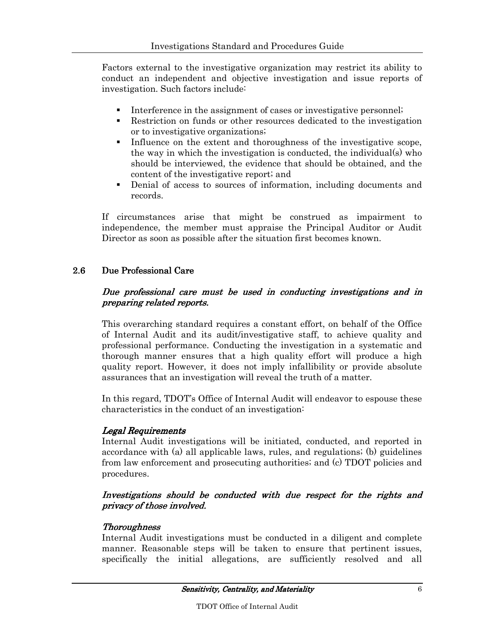Factors external to the investigative organization may restrict its ability to conduct an independent and objective investigation and issue reports of investigation. Such factors include:

- Interference in the assignment of cases or investigative personnel;
- Restriction on funds or other resources dedicated to the investigation or to investigative organizations;
- Influence on the extent and thoroughness of the investigative scope, the way in which the investigation is conducted, the individual(s) who should be interviewed, the evidence that should be obtained, and the content of the investigative report; and
- Denial of access to sources of information, including documents and records.

If circumstances arise that might be construed as impairment to independence, the member must appraise the Principal Auditor or Audit Director as soon as possible after the situation first becomes known.

## 2.6 Due Professional Care

#### Due professional care must be used in conducting investigations and in preparing related reports. preparing related reports.

This overarching standard requires a constant effort, on behalf of the Office of Internal Audit and its audit/investigative staff, to achieve quality and professional performance. Conducting the investigation in a systematic and thorough manner ensures that a high quality effort will produce a high quality report. However, it does not imply infallibility or provide absolute assurances that an investigation will reveal the truth of a matter.

In this regard, TDOT's Office of Internal Audit will endeavor to espouse these characteristics in the conduct of an investigation:

#### Legal Requirements

Internal Audit investigations will be initiated, conducted, and reported in accordance with (a) all applicable laws, rules, and regulations; (b) guidelines from law enforcement and prosecuting authorities; and (c) TDOT policies and procedures.

#### Investigations should be conducted with due respect for the rights and privacy of those involved.

#### **Thoroughness**

Internal Audit investigations must be conducted in a diligent and complete manner. Reasonable steps will be taken to ensure that pertinent issues, specifically the initial allegations, are sufficiently resolved and all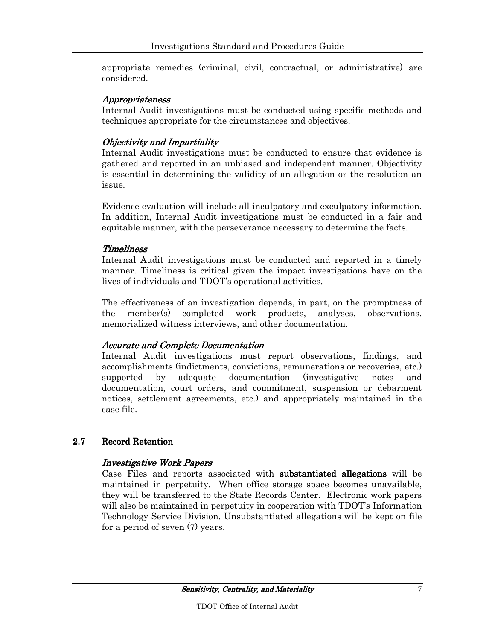appropriate remedies (criminal, civil, contractual, or administrative) are considered.

#### *Appropriateness*

Internal Audit investigations must be conducted using specific methods and techniques appropriate for the circumstances and objectives.

#### **Objectivity and Impartiality**

Internal Audit investigations must be conducted to ensure that evidence is gathered and reported in an unbiased and independent manner. Objectivity is essential in determining the validity of an allegation or the resolution an issue.

Evidence evaluation will include all inculpatory and exculpatory information. In addition, Internal Audit investigations must be conducted in a fair and equitable manner, with the perseverance necessary to determine the facts.

#### **Timeliness**

Internal Audit investigations must be conducted and reported in a timely manner. Timeliness is critical given the impact investigations have on the lives of individuals and TDOT's operational activities.

The effectiveness of an investigation depends, in part, on the promptness of the member(s) completed work products, analyses, observations, memorialized witness interviews, and other documentation.

#### Accurate and Complete Documentation

Internal Audit investigations must report observations, findings, and accomplishments (indictments, convictions, remunerations or recoveries, etc.) supported by adequate documentation (investigative notes and documentation, court orders, and commitment, suspension or debarment notices, settlement agreements, etc.) and appropriately maintained in the case file.

#### 2.7 Record Retention

#### Investigative Work Papers

Case Files and reports associated with **substantiated allegations** will be maintained in perpetuity. When office storage space becomes unavailable, they will be transferred to the State Records Center. Electronic work papers will also be maintained in perpetuity in cooperation with TDOT's Information Technology Service Division. Unsubstantiated allegations will be kept on file for a period of seven (7) years.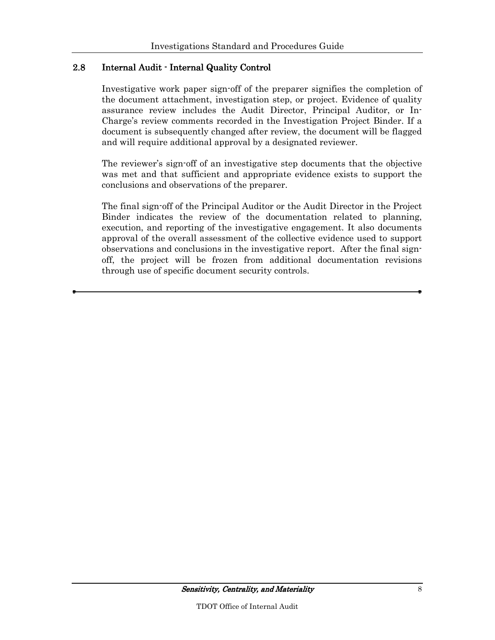## 2.8 Internal Audit - Internal Quality Control

Investigative work paper sign-off of the preparer signifies the completion of the document attachment, investigation step, or project. Evidence of quality assurance review includes the Audit Director, Principal Auditor, or In-Charge's review comments recorded in the Investigation Project Binder. If a document is subsequently changed after review, the document will be flagged and will require additional approval by a designated reviewer.

The reviewer's sign-off of an investigative step documents that the objective was met and that sufficient and appropriate evidence exists to support the conclusions and observations of the preparer.

The final sign-off of the Principal Auditor or the Audit Director in the Project Binder indicates the review of the documentation related to planning, execution, and reporting of the investigative engagement. It also documents approval of the overall assessment of the collective evidence used to support observations and conclusions in the investigative report. After the final signoff, the project will be frozen from additional documentation revisions through use of specific document security controls.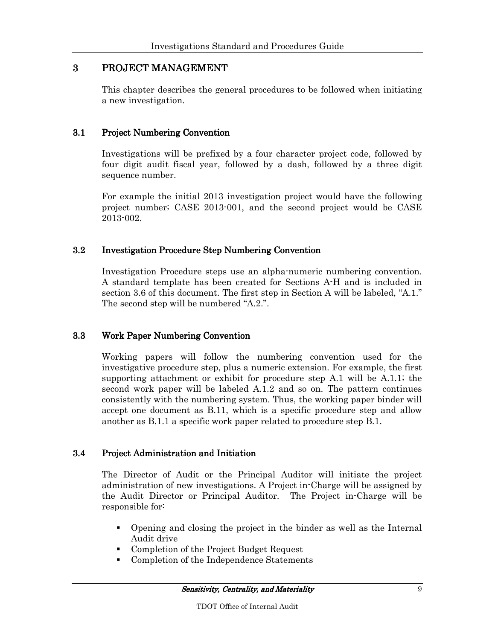## 3 PROJECT MANAGEMENT

This chapter describes the general procedures to be followed when initiating a new investigation.

#### 3.1 Project Numbering Convention

Investigations will be prefixed by a four character project code, followed by four digit audit fiscal year, followed by a dash, followed by a three digit sequence number.

For example the initial 2013 investigation project would have the following project number; CASE 2013-001, and the second project would be CASE 2013-002.

#### 3.2 Investigation Procedure Step Numbering Convention

Investigation Procedure steps use an alpha-numeric numbering convention. A standard template has been created for Sections A-H and is included in section 3.6 of this document. The first step in Section A will be labeled, "A.1." The second step will be numbered "A.2.".

#### 3.3 Work Paper Numbering Convention

Working papers will follow the numbering convention used for the investigative procedure step, plus a numeric extension. For example, the first supporting attachment or exhibit for procedure step A.1 will be A.1.1; the second work paper will be labeled A.1.2 and so on. The pattern continues consistently with the numbering system. Thus, the working paper binder will accept one document as B.11, which is a specific procedure step and allow another as B.1.1 a specific work paper related to procedure step B.1.

#### 3.4 Project Administration and Initiation

The Director of Audit or the Principal Auditor will initiate the project administration of new investigations. A Project in-Charge will be assigned by the Audit Director or Principal Auditor. The Project in-Charge will be responsible for:

- Opening and closing the project in the binder as well as the Internal Audit drive
- Completion of the Project Budget Request
- Completion of the Independence Statements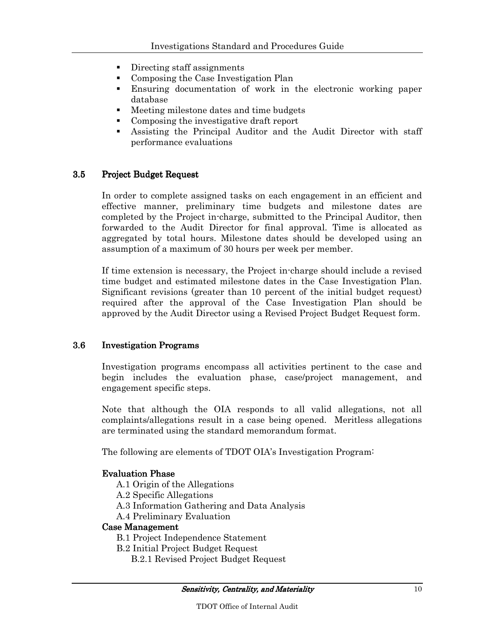- **Directing staff assignments**
- Composing the Case Investigation Plan
- Ensuring documentation of work in the electronic working paper database
- Meeting milestone dates and time budgets
- Composing the investigative draft report
- Assisting the Principal Auditor and the Audit Director with staff performance evaluations

#### 3.5 Project Budget Request

In order to complete assigned tasks on each engagement in an efficient and effective manner, preliminary time budgets and milestone dates are completed by the Project in-charge, submitted to the Principal Auditor, then forwarded to the Audit Director for final approval. Time is allocated as aggregated by total hours. Milestone dates should be developed using an assumption of a maximum of 30 hours per week per member.

If time extension is necessary, the Project in-charge should include a revised time budget and estimated milestone dates in the Case Investigation Plan. Significant revisions (greater than 10 percent of the initial budget request) required after the approval of the Case Investigation Plan should be approved by the Audit Director using a Revised Project Budget Request form.

#### 3.6 Investigation Programs

Investigation programs encompass all activities pertinent to the case and begin includes the evaluation phase, case/project management, and engagement specific steps.

Note that although the OIA responds to all valid allegations, not all complaints/allegations result in a case being opened. Meritless allegations are terminated using the standard memorandum format.

The following are elements of TDOT OIA's Investigation Program:

#### **Evaluation Phase**

- A.1 Origin of the Allegations
- A.2 Specific Allegations
- A.3 Information Gathering and Data Analysis
- A.4 Preliminary Evaluation

#### Case Management

- B.1 Project Independence Statement
- B.2 Initial Project Budget Request
	- B.2.1 Revised Project Budget Request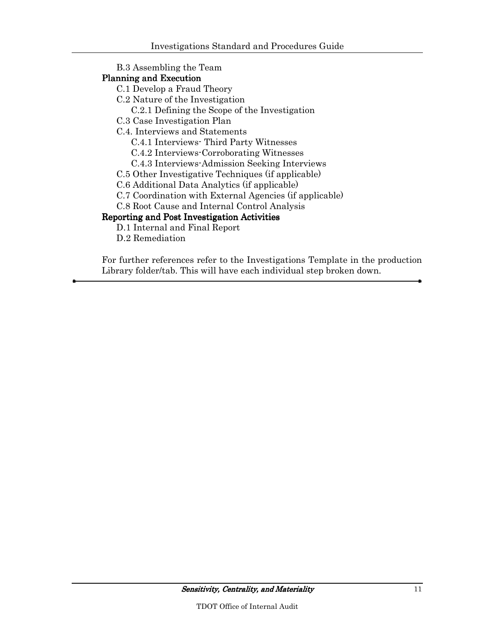B.3 Assembling the Team

#### Planning and Execution

- C.1 Develop a Fraud Theory
- C.2 Nature of the Investigation
	- C.2.1 Defining the Scope of the Investigation
- C.3 Case Investigation Plan
- C.4. Interviews and Statements
	- C.4.1 Interviews- Third Party Witnesses
	- C.4.2 Interviews-Corroborating Witnesses
	- C.4.3 Interviews-Admission Seeking Interviews
- C.5 Other Investigative Techniques (if applicable)
- C.6 Additional Data Analytics (if applicable)
- C.7 Coordination with External Agencies (if applicable)
- C.8 Root Cause and Internal Control Analysis

## Reporting and Post Investigation Activities

- D.1 Internal and Final Report
- D.2 Remediation

For further references refer to the Investigations Template in the production Library folder/tab. This will have each individual step broken down.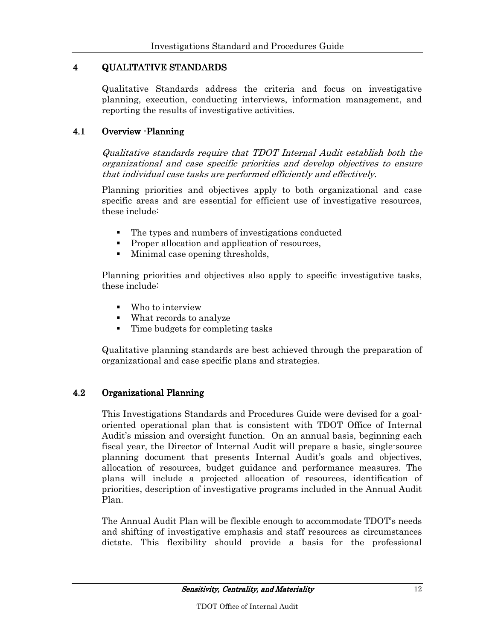## 4 QUALITATIVE STANDARDS QUALITATIVE STANDARDS

Qualitative Standards address the criteria and focus on investigative planning, execution, conducting interviews, information management, and reporting the results of investigative activities.

#### 4.1 Overview - Planning

Qualitative standards require that TDOT Internal Audit establish both the organizational and case specific priorities and develop objectives to ensure that individual case tasks are performed efficiently and effectively.

Planning priorities and objectives apply to both organizational and case specific areas and are essential for efficient use of investigative resources, these include:

- The types and numbers of investigations conducted
- **Proper allocation and application of resources,**
- Minimal case opening thresholds,

Planning priorities and objectives also apply to specific investigative tasks, these include:

- Who to interview
- What records to analyze
- Time budgets for completing tasks

Qualitative planning standards are best achieved through the preparation of organizational and case specific plans and strategies.

#### 4.2 Organizational Planning

This Investigations Standards and Procedures Guide were devised for a goaloriented operational plan that is consistent with TDOT Office of Internal Audit's mission and oversight function. On an annual basis, beginning each fiscal year, the Director of Internal Audit will prepare a basic, single-source planning document that presents Internal Audit's goals and objectives, allocation of resources, budget guidance and performance measures. The plans will include a projected allocation of resources, identification of priorities, description of investigative programs included in the Annual Audit Plan.

The Annual Audit Plan will be flexible enough to accommodate TDOT's needs and shifting of investigative emphasis and staff resources as circumstances dictate. This flexibility should provide a basis for the professional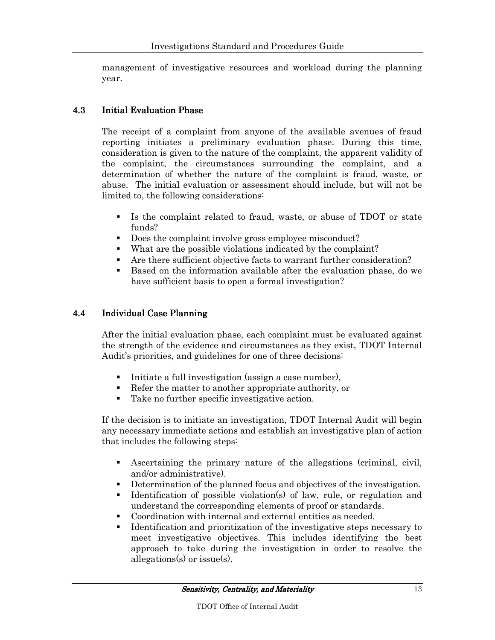management of investigative resources and workload during the planning year.

#### 4.3 Initial Evaluation Phase

The receipt of a complaint from anyone of the available avenues of fraud reporting initiates a preliminary evaluation phase. During this time, consideration is given to the nature of the complaint, the apparent validity of the complaint, the circumstances surrounding the complaint, and a determination of whether the nature of the complaint is fraud, waste, or abuse. The initial evaluation or assessment should include, but will not be limited to, the following considerations:

- Is the complaint related to fraud, waste, or abuse of TDOT or state funds?
- Does the complaint involve gross employee misconduct?
- What are the possible violations indicated by the complaint?
- Are there sufficient objective facts to warrant further consideration?
- Based on the information available after the evaluation phase, do we have sufficient basis to open a formal investigation?

#### 4.4 Individual Case Planning

After the initial evaluation phase, each complaint must be evaluated against the strength of the evidence and circumstances as they exist, TDOT Internal Audit's priorities, and guidelines for one of three decisions:

- Initiate a full investigation (assign a case number),
- Refer the matter to another appropriate authority, or
- Take no further specific investigative action.

If the decision is to initiate an investigation, TDOT Internal Audit will begin any necessary immediate actions and establish an investigative plan of action that includes the following steps:

- Ascertaining the primary nature of the allegations (criminal, civil, and/or administrative).
- Determination of the planned focus and objectives of the investigation.
- Identification of possible violation(s) of law, rule, or regulation and understand the corresponding elements of proof or standards.
- Coordination with internal and external entities as needed.
- Identification and prioritization of the investigative steps necessary to meet investigative objectives. This includes identifying the best approach to take during the investigation in order to resolve the allegations(s) or issue(s).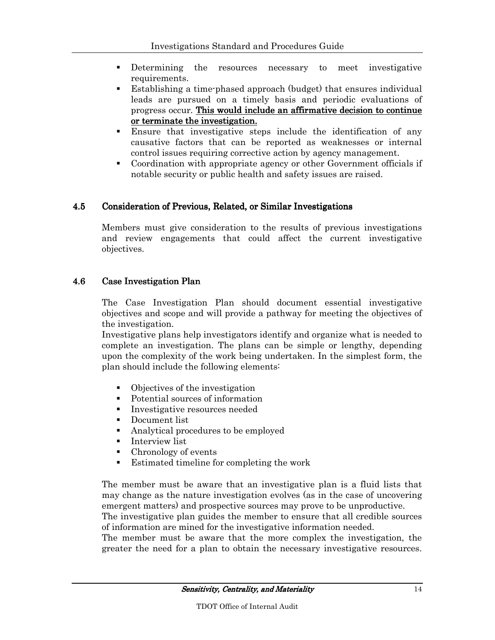- Determining the resources necessary to meet investigative requirements.
- Establishing a time-phased approach (budget) that ensures individual leads are pursued on a timely basis and periodic evaluations of progress occur. This would include an affirmative decision to continue or terminate the investigation.
- Ensure that investigative steps include the identification of any causative factors that can be reported as weaknesses or internal control issues requiring corrective action by agency management.
- Coordination with appropriate agency or other Government officials if notable security or public health and safety issues are raised.

#### 4.5 Consideration of Previous, Related, or Similar Investigations

Members must give consideration to the results of previous investigations and review engagements that could affect the current investigative objectives.

#### 4.6 Case Investigation Plan

The Case Investigation Plan should document essential investigative objectives and scope and will provide a pathway for meeting the objectives of the investigation.

Investigative plans help investigators identify and organize what is needed to complete an investigation. The plans can be simple or lengthy, depending upon the complexity of the work being undertaken. In the simplest form, the plan should include the following elements:

- Objectives of the investigation
- Potential sources of information
- **Investigative resources needed**
- **Document list**
- Analytical procedures to be employed
- **Interview list**
- Chronology of events
- Estimated timeline for completing the work

The member must be aware that an investigative plan is a fluid lists that may change as the nature investigation evolves (as in the case of uncovering emergent matters) and prospective sources may prove to be unproductive.

The investigative plan guides the member to ensure that all credible sources of information are mined for the investigative information needed.

The member must be aware that the more complex the investigation, the greater the need for a plan to obtain the necessary investigative resources.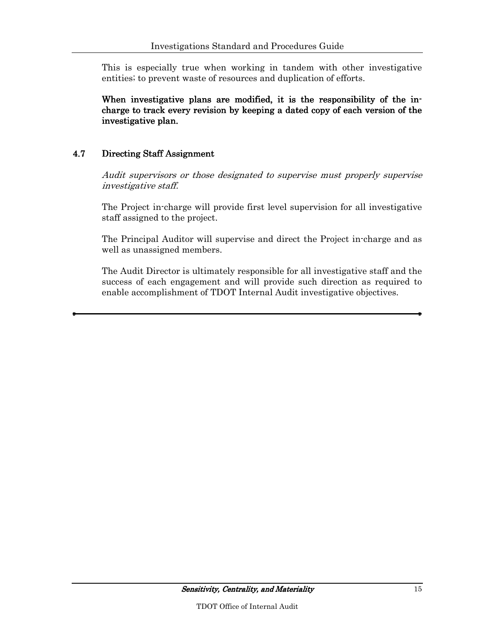This is especially true when working in tandem with other investigative entities; to prevent waste of resources and duplication of efforts.

When investigative plans are modified, it is the responsibility of the incharge to track every revision by keeping a dated copy of each version of the investigative plan.

#### 4.7 Directing Staff Assignment

Audit supervisors or those designated to supervise must properly supervise investigative staff.

The Project in-charge will provide first level supervision for all investigative staff assigned to the project.

The Principal Auditor will supervise and direct the Project in-charge and as well as unassigned members.

The Audit Director is ultimately responsible for all investigative staff and the success of each engagement and will provide such direction as required to enable accomplishment of TDOT Internal Audit investigative objectives.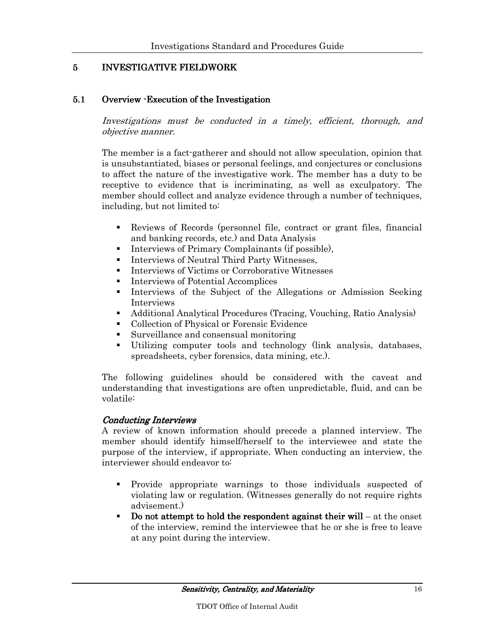## 5 INVESTIGATIVE FIELDWORK

#### 5.1 Overview - Execution of the Investigation

Investigations must be conducted in a timely, efficient, thorough, and objective manner.

The member is a fact-gatherer and should not allow speculation, opinion that is unsubstantiated, biases or personal feelings, and conjectures or conclusions to affect the nature of the investigative work. The member has a duty to be receptive to evidence that is incriminating, as well as exculpatory. The member should collect and analyze evidence through a number of techniques, including, but not limited to:

- Reviews of Records (personnel file, contract or grant files, financial and banking records, etc.) and Data Analysis
- Interviews of Primary Complainants (if possible),
- **Interviews of Neutral Third Party Witnesses.**
- **Interviews of Victims or Corroborative Witnesses**
- Interviews of Potential Accomplices
- Interviews of the Subject of the Allegations or Admission Seeking Interviews
- Additional Analytical Procedures (Tracing, Vouching, Ratio Analysis)
- Collection of Physical or Forensic Evidence
- Surveillance and consensual monitoring
- Utilizing computer tools and technology (link analysis, databases, spreadsheets, cyber forensics, data mining, etc.).

The following guidelines should be considered with the caveat and understanding that investigations are often unpredictable, fluid, and can be volatile:

#### Conducting Interviews

A review of known information should precede a planned interview. The member should identify himself/herself to the interviewee and state the purpose of the interview, if appropriate. When conducting an interview, the interviewer should endeavor to:

- Provide appropriate warnings to those individuals suspected of violating law or regulation. (Witnesses generally do not require rights advisement.)
- Do not attempt to hold the respondent against their will at the onset of the interview, remind the interviewee that he or she is free to leave at any point during the interview.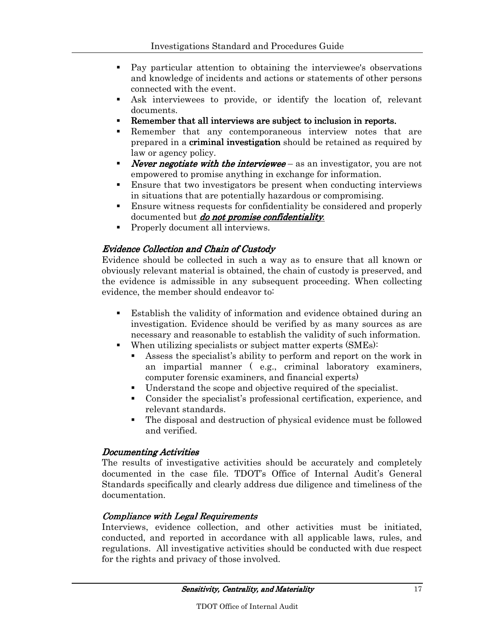- Pay particular attention to obtaining the interviewee's observations and knowledge of incidents and actions or statements of other persons connected with the event.
- Ask interviewees to provide, or identify the location of, relevant documents.
- Remember that all interviews are subject to inclusion in reports.
- Remember that any contemporaneous interview notes that are prepared in a **criminal investigation** should be retained as required by law or agency policy.
- **Never negotiate with the interviewee** as an investigator, you are not empowered to promise anything in exchange for information.
- Ensure that two investigators be present when conducting interviews in situations that are potentially hazardous or compromising.
- Ensure witness requests for confidentiality be considered and properly documented but *do not promise confidentiality*.
- Properly document all interviews.

#### **Evidence Collection and Chain of Custody**

Evidence should be collected in such a way as to ensure that all known or obviously relevant material is obtained, the chain of custody is preserved, and the evidence is admissible in any subsequent proceeding. When collecting evidence, the member should endeavor to:

- Establish the validity of information and evidence obtained during an investigation. Evidence should be verified by as many sources as are necessary and reasonable to establish the validity of such information.
- When utilizing specialists or subject matter experts (SMEs):
	- Assess the specialist's ability to perform and report on the work in an impartial manner ( e.g., criminal laboratory examiners, computer forensic examiners, and financial experts)
	- Understand the scope and objective required of the specialist.
	- Consider the specialist's professional certification, experience, and relevant standards.
	- The disposal and destruction of physical evidence must be followed and verified.

#### Documenting Activities

The results of investigative activities should be accurately and completely documented in the case file. TDOT's Office of Internal Audit's General Standards specifically and clearly address due diligence and timeliness of the documentation.

#### Compliance with Legal Requirements

Interviews, evidence collection, and other activities must be initiated, conducted, and reported in accordance with all applicable laws, rules, and regulations. All investigative activities should be conducted with due respect for the rights and privacy of those involved.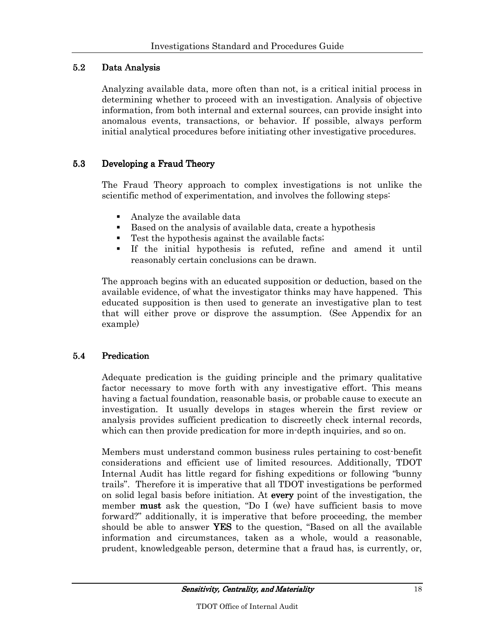## 5.2 Data Analysis

Analyzing available data, more often than not, is a critical initial process in determining whether to proceed with an investigation. Analysis of objective information, from both internal and external sources, can provide insight into anomalous events, transactions, or behavior. If possible, always perform initial analytical procedures before initiating other investigative procedures.

#### 5.3 Developing a Fraud Theory

The Fraud Theory approach to complex investigations is not unlike the scientific method of experimentation, and involves the following steps:

- Analyze the available data
- Based on the analysis of available data, create a hypothesis
- Test the hypothesis against the available facts;
- If the initial hypothesis is refuted, refine and amend it until reasonably certain conclusions can be drawn.

The approach begins with an educated supposition or deduction, based on the available evidence, of what the investigator thinks may have happened. This educated supposition is then used to generate an investigative plan to test that will either prove or disprove the assumption. (See Appendix for an example)

## 5.4 Predication

Adequate predication is the guiding principle and the primary qualitative factor necessary to move forth with any investigative effort. This means having a factual foundation, reasonable basis, or probable cause to execute an investigation. It usually develops in stages wherein the first review or analysis provides sufficient predication to discreetly check internal records, which can then provide predication for more in-depth inquiries, and so on.

Members must understand common business rules pertaining to cost-benefit considerations and efficient use of limited resources. Additionally, TDOT Internal Audit has little regard for fishing expeditions or following "bunny trails". Therefore it is imperative that all TDOT investigations be performed on solid legal basis before initiation. At every point of the investigation, the member **must** ask the question, "Do I (we) have sufficient basis to move forward?" additionally, it is imperative that before proceeding, the member should be able to answer YES to the question, "Based on all the available information and circumstances, taken as a whole, would a reasonable, prudent, knowledgeable person, determine that a fraud has, is currently, or,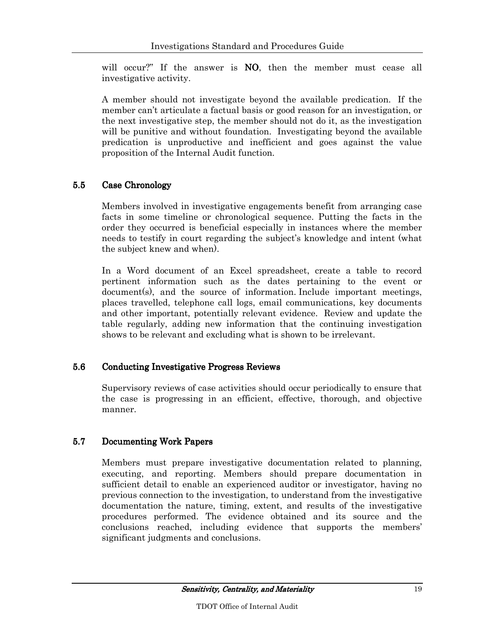will occur?" If the answer is **NO**, then the member must cease all investigative activity.

A member should not investigate beyond the available predication. If the member can't articulate a factual basis or good reason for an investigation, or the next investigative step, the member should not do it, as the investigation will be punitive and without foundation. Investigating beyond the available predication is unproductive and inefficient and goes against the value proposition of the Internal Audit function.

## 5.5 Case Chronology

Members involved in investigative engagements benefit from arranging case facts in some timeline or chronological sequence. Putting the facts in the order they occurred is beneficial especially in instances where the member needs to testify in court regarding the subject's knowledge and intent (what the subject knew and when).

In a Word document of an Excel spreadsheet, create a table to record pertinent information such as the dates pertaining to the event or document(s), and the source of information. Include important meetings, places travelled, telephone call logs, email communications, key documents and other important, potentially relevant evidence. Review and update the table regularly, adding new information that the continuing investigation shows to be relevant and excluding what is shown to be irrelevant.

#### 5.6 Conducting Investigative Progress Reviews

Supervisory reviews of case activities should occur periodically to ensure that the case is progressing in an efficient, effective, thorough, and objective manner.

## 5.7 Documenting Work Papers

Members must prepare investigative documentation related to planning, executing, and reporting. Members should prepare documentation in sufficient detail to enable an experienced auditor or investigator, having no previous connection to the investigation, to understand from the investigative documentation the nature, timing, extent, and results of the investigative procedures performed. The evidence obtained and its source and the conclusions reached, including evidence that supports the members' significant judgments and conclusions.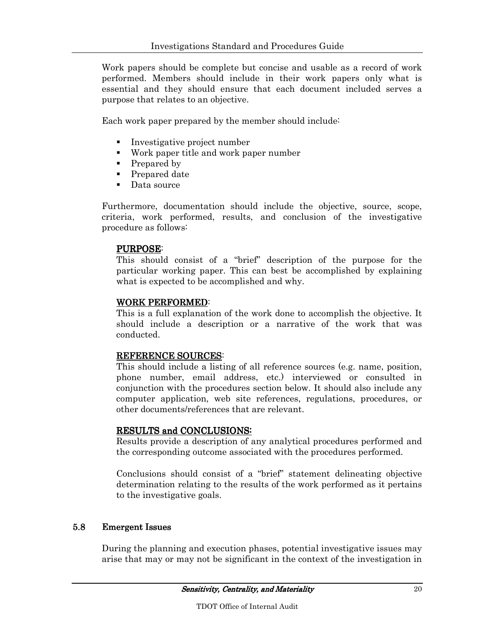Work papers should be complete but concise and usable as a record of work performed. Members should include in their work papers only what is essential and they should ensure that each document included serves a purpose that relates to an objective.

Each work paper prepared by the member should include:

- **Investigative project number**
- Work paper title and work paper number
- Prepared by
- Prepared date
- Data source

Furthermore, documentation should include the objective, source, scope, criteria, work performed, results, and conclusion of the investigative procedure as follows:

#### PURPOSE:

This should consist of a "brief" description of the purpose for the particular working paper. This can best be accomplished by explaining what is expected to be accomplished and why.

#### WORK PERFORMED:

This is a full explanation of the work done to accomplish the objective. It should include a description or a narrative of the work that was conducted.

#### REFERENCE SOURCES:

This should include a listing of all reference sources (e.g. name, position, phone number, email address, etc.) interviewed or consulted in conjunction with the procedures section below. It should also include any computer application, web site references, regulations, procedures, or other documents/references that are relevant.

#### RESULTS and CONCLUSIONS:

Results provide a description of any analytical procedures performed and the corresponding outcome associated with the procedures performed.

Conclusions should consist of a "brief" statement delineating objective determination relating to the results of the work performed as it pertains to the investigative goals.

#### 5.8 Emergent Issues

During the planning and execution phases, potential investigative issues may arise that may or may not be significant in the context of the investigation in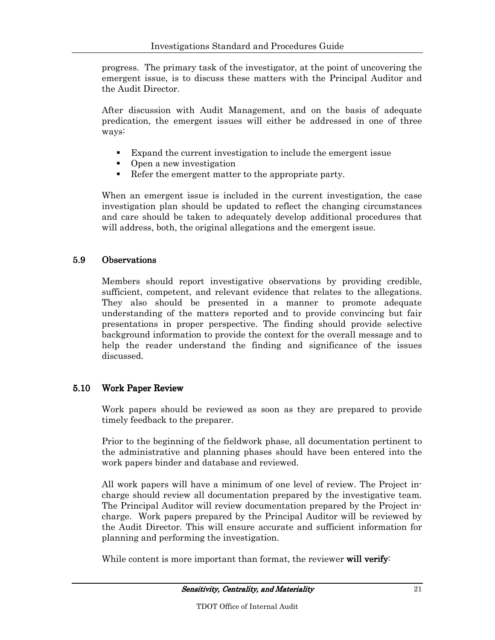progress. The primary task of the investigator, at the point of uncovering the emergent issue, is to discuss these matters with the Principal Auditor and the Audit Director.

After discussion with Audit Management, and on the basis of adequate predication, the emergent issues will either be addressed in one of three ways:

- Expand the current investigation to include the emergent issue
- Open a new investigation
- Refer the emergent matter to the appropriate party.

When an emergent issue is included in the current investigation, the case investigation plan should be updated to reflect the changing circumstances and care should be taken to adequately develop additional procedures that will address, both, the original allegations and the emergent issue.

#### 5.9 Observations

Members should report investigative observations by providing credible, sufficient, competent, and relevant evidence that relates to the allegations. They also should be presented in a manner to promote adequate understanding of the matters reported and to provide convincing but fair presentations in proper perspective. The finding should provide selective background information to provide the context for the overall message and to help the reader understand the finding and significance of the issues discussed.

#### 5.10 Work Paper Review

Work papers should be reviewed as soon as they are prepared to provide timely feedback to the preparer.

Prior to the beginning of the fieldwork phase, all documentation pertinent to the administrative and planning phases should have been entered into the work papers binder and database and reviewed.

All work papers will have a minimum of one level of review. The Project incharge should review all documentation prepared by the investigative team. The Principal Auditor will review documentation prepared by the Project incharge. Work papers prepared by the Principal Auditor will be reviewed by the Audit Director. This will ensure accurate and sufficient information for planning and performing the investigation.

While content is more important than format, the reviewer will verify: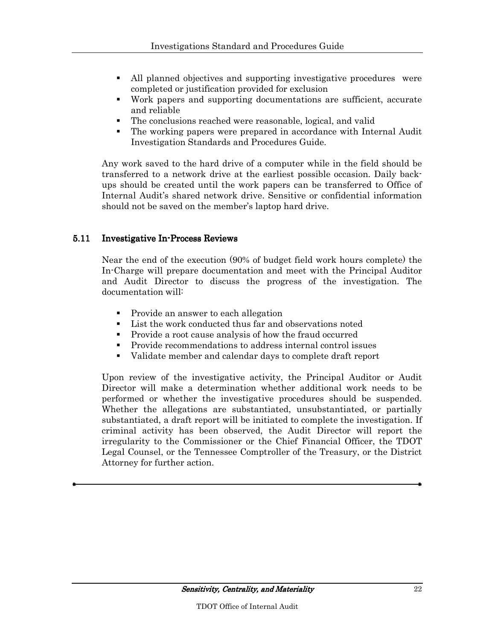- All planned objectives and supporting investigative procedures were completed or justification provided for exclusion
- Work papers and supporting documentations are sufficient, accurate and reliable
- The conclusions reached were reasonable, logical, and valid
- The working papers were prepared in accordance with Internal Audit Investigation Standards and Procedures Guide.

Any work saved to the hard drive of a computer while in the field should be transferred to a network drive at the earliest possible occasion. Daily backups should be created until the work papers can be transferred to Office of Internal Audit's shared network drive. Sensitive or confidential information should not be saved on the member's laptop hard drive.

#### 5.11 Investigative In-Process Reviews

Near the end of the execution (90% of budget field work hours complete) the In-Charge will prepare documentation and meet with the Principal Auditor and Audit Director to discuss the progress of the investigation. The documentation will:

- Provide an answer to each allegation
- List the work conducted thus far and observations noted
- Provide a root cause analysis of how the fraud occurred
- Provide recommendations to address internal control issues
- Validate member and calendar days to complete draft report

Upon review of the investigative activity, the Principal Auditor or Audit Director will make a determination whether additional work needs to be performed or whether the investigative procedures should be suspended. Whether the allegations are substantiated, unsubstantiated, or partially substantiated, a draft report will be initiated to complete the investigation. If criminal activity has been observed, the Audit Director will report the irregularity to the Commissioner or the Chief Financial Officer, the TDOT Legal Counsel, or the Tennessee Comptroller of the Treasury, or the District Attorney for further action.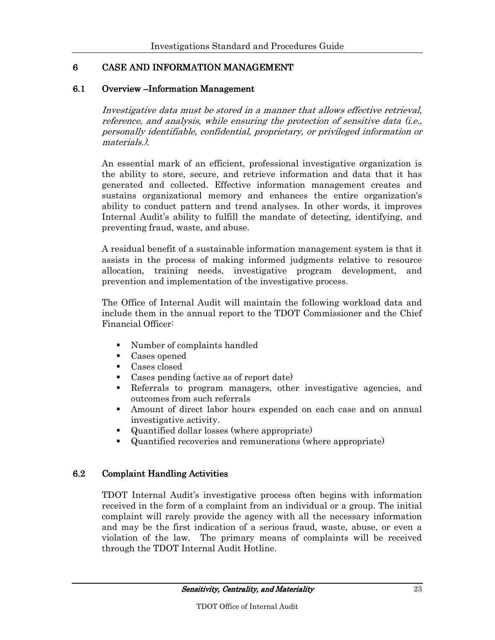## 6 CASE AND INFORMATION MANAGEMENT

#### 6.1 Overview – Information Management

Investigative data must be stored in a manner that allows effective retrieval, reference, and analysis, while ensuring the protection of sensitive data (i.e., personally identifiable, confidential, proprietary, or privileged information or materials.).

An essential mark of an efficient, professional investigative organization is the ability to store, secure, and retrieve information and data that it has generated and collected. Effective information management creates and sustains organizational memory and enhances the entire organization's ability to conduct pattern and trend analyses. In other words, it improves Internal Audit's ability to fulfill the mandate of detecting, identifying, and preventing fraud, waste, and abuse.

A residual benefit of a sustainable information management system is that it assists in the process of making informed judgments relative to resource allocation, training needs, investigative program development, and prevention and implementation of the investigative process.

The Office of Internal Audit will maintain the following workload data and include them in the annual report to the TDOT Commissioner and the Chief Financial Officer:

- Number of complaints handled
- Cases opened
- Cases closed
- Cases pending (active as of report date)
- Referrals to program managers, other investigative agencies, and outcomes from such referrals
- Amount of direct labor hours expended on each case and on annual investigative activity.
- Quantified dollar losses (where appropriate)
- Quantified recoveries and remunerations (where appropriate)

#### 6.2 Complaint Handling Activities

TDOT Internal Audit's investigative process often begins with information received in the form of a complaint from an individual or a group. The initial complaint will rarely provide the agency with all the necessary information and may be the first indication of a serious fraud, waste, abuse, or even a violation of the law. The primary means of complaints will be received through the TDOT Internal Audit Hotline.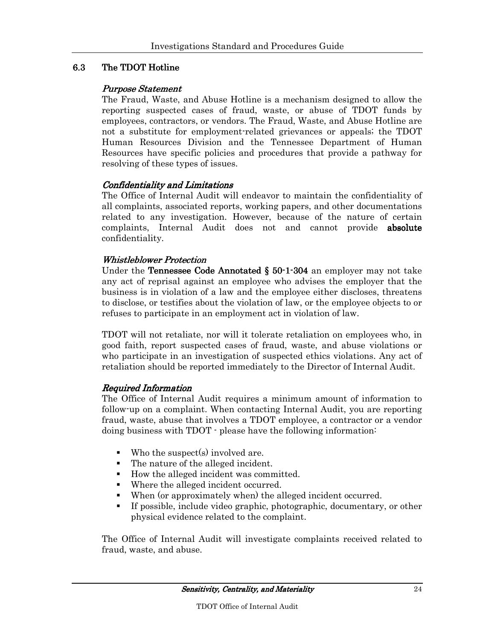## 6.3 The TDOT Hotline

#### Purpose Statement

The Fraud, Waste, and Abuse Hotline is a mechanism designed to allow the reporting suspected cases of fraud, waste, or abuse of TDOT funds by employees, contractors, or vendors. The Fraud, Waste, and Abuse Hotline are not a substitute for employment-related grievances or appeals; the TDOT Human Resources Division and the Tennessee Department of Human Resources have specific policies and procedures that provide a pathway for resolving of these types of issues.

#### Confidentiality and Limitations

The Office of Internal Audit will endeavor to maintain the confidentiality of all complaints, associated reports, working papers, and other documentations related to any investigation. However, because of the nature of certain complaints, Internal Audit does not and cannot provide absolute absolute confidentiality.

#### **Whistleblower Protection**

Under the **Tennessee Code Annotated § 50-1-304** an employer may not take any act of reprisal against an employee who advises the employer that the business is in violation of a law and the employee either discloses, threatens to disclose, or testifies about the violation of law, or the employee objects to or refuses to participate in an employment act in violation of law.

TDOT will not retaliate, nor will it tolerate retaliation on employees who, in good faith, report suspected cases of fraud, waste, and abuse violations or who participate in an investigation of suspected ethics violations. Any act of retaliation should be reported immediately to the Director of Internal Audit.

#### Required Information

The Office of Internal Audit requires a minimum amount of information to follow-up on a complaint. When contacting Internal Audit, you are reporting fraud, waste, abuse that involves a TDOT employee, a contractor or a vendor doing business with TDOT - please have the following information:

- Who the suspect(s) involved are.
- The nature of the alleged incident.
- How the alleged incident was committed.
- Where the alleged incident occurred.
- When (or approximately when) the alleged incident occurred.
- If possible, include video graphic, photographic, documentary, or other physical evidence related to the complaint.

The Office of Internal Audit will investigate complaints received related to fraud, waste, and abuse.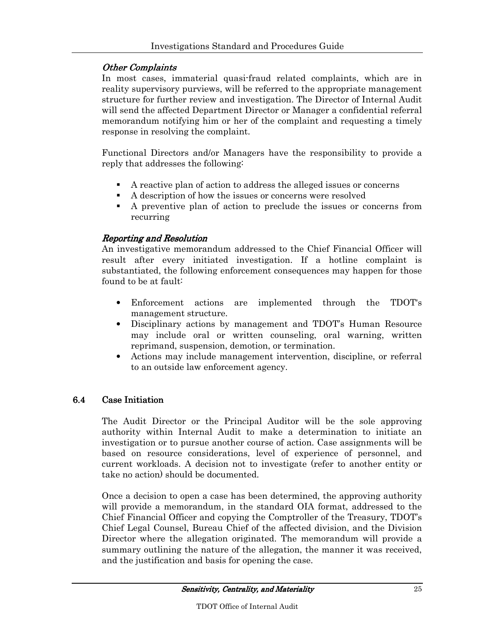#### Other Complaints

In most cases, immaterial quasi-fraud related complaints, which are in reality supervisory purviews, will be referred to the appropriate management structure for further review and investigation. The Director of Internal Audit will send the affected Department Director or Manager a confidential referral memorandum notifying him or her of the complaint and requesting a timely response in resolving the complaint.

Functional Directors and/or Managers have the responsibility to provide a reply that addresses the following:

- A reactive plan of action to address the alleged issues or concerns
- A description of how the issues or concerns were resolved
- A preventive plan of action to preclude the issues or concerns from recurring

#### Reporting and Resolution

An investigative memorandum addressed to the Chief Financial Officer will result after every initiated investigation. If a hotline complaint is substantiated, the following enforcement consequences may happen for those found to be at fault:

- Enforcement actions are implemented through the TDOT's management structure.
- Disciplinary actions by management and TDOT's Human Resource may include oral or written counseling, oral warning, written reprimand, suspension, demotion, or termination.
- Actions may include management intervention, discipline, or referral to an outside law enforcement agency.

#### 6.4 Case Initiation

The Audit Director or the Principal Auditor will be the sole approving authority within Internal Audit to make a determination to initiate an investigation or to pursue another course of action. Case assignments will be based on resource considerations, level of experience of personnel, and current workloads. A decision not to investigate (refer to another entity or take no action) should be documented.

Once a decision to open a case has been determined, the approving authority will provide a memorandum, in the standard OIA format, addressed to the Chief Financial Officer and copying the Comptroller of the Treasury, TDOT's Chief Legal Counsel, Bureau Chief of the affected division, and the Division Director where the allegation originated. The memorandum will provide a summary outlining the nature of the allegation, the manner it was received, and the justification and basis for opening the case.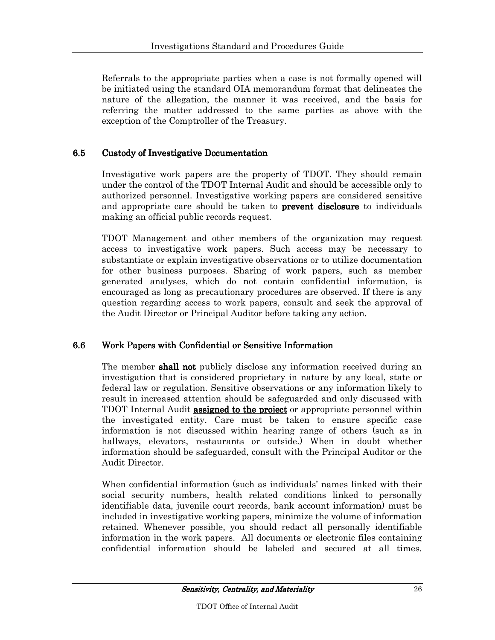Referrals to the appropriate parties when a case is not formally opened will be initiated using the standard OIA memorandum format that delineates the nature of the allegation, the manner it was received, and the basis for referring the matter addressed to the same parties as above with the exception of the Comptroller of the Treasury.

#### 6.5 Custody of Investigative Documentation

Investigative work papers are the property of TDOT. They should remain under the control of the TDOT Internal Audit and should be accessible only to authorized personnel. Investigative working papers are considered sensitive and appropriate care should be taken to **prevent disclosure** to individuals making an official public records request.

TDOT Management and other members of the organization may request access to investigative work papers. Such access may be necessary to substantiate or explain investigative observations or to utilize documentation for other business purposes. Sharing of work papers, such as member generated analyses, which do not contain confidential information, is encouraged as long as precautionary procedures are observed. If there is any question regarding access to work papers, consult and seek the approval of the Audit Director or Principal Auditor before taking any action.

#### 6.6 Work Papers with Confidential or Sensitive Information

The member **shall not** publicly disclose any information received during an investigation that is considered proprietary in nature by any local, state or federal law or regulation. Sensitive observations or any information likely to result in increased attention should be safeguarded and only discussed with TDOT Internal Audit **assigned to the project** or appropriate personnel within the investigated entity. Care must be taken to ensure specific case information is not discussed within hearing range of others (such as in hallways, elevators, restaurants or outside.) When in doubt whether information should be safeguarded, consult with the Principal Auditor or the Audit Director.

When confidential information (such as individuals' names linked with their social security numbers, health related conditions linked to personally identifiable data, juvenile court records, bank account information) must be included in investigative working papers, minimize the volume of information retained. Whenever possible, you should redact all personally identifiable information in the work papers. All documents or electronic files containing confidential information should be labeled and secured at all times.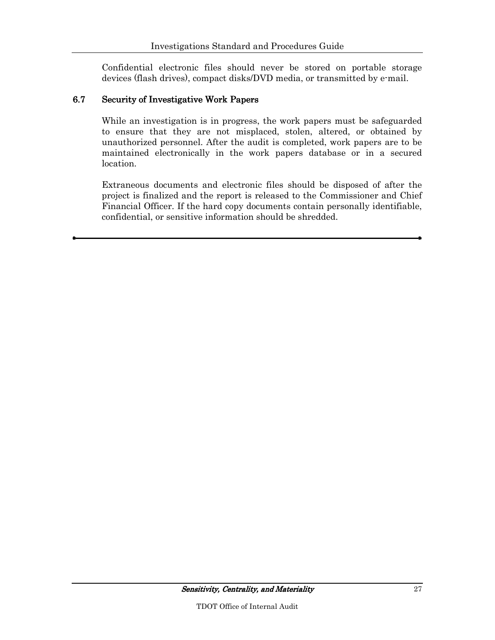Confidential electronic files should never be stored on portable storage devices (flash drives), compact disks/DVD media, or transmitted by e-mail.

#### 6.7 Security of Investigative Work Papers

While an investigation is in progress, the work papers must be safeguarded to ensure that they are not misplaced, stolen, altered, or obtained by unauthorized personnel. After the audit is completed, work papers are to be maintained electronically in the work papers database or in a secured location.

Extraneous documents and electronic files should be disposed of after the project is finalized and the report is released to the Commissioner and Chief Financial Officer. If the hard copy documents contain personally identifiable, confidential, or sensitive information should be shredded.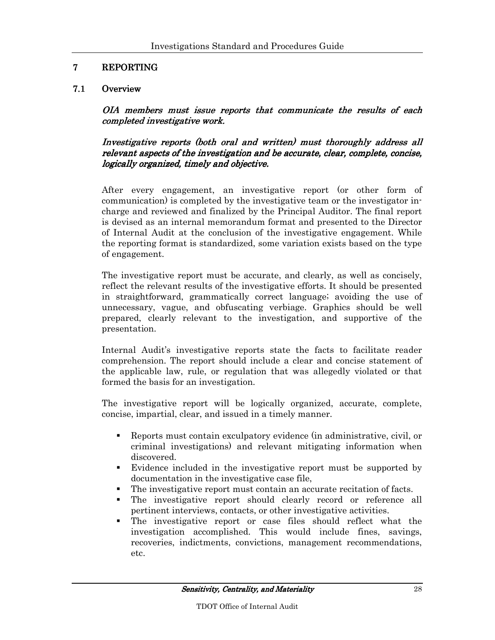## 7 REPORTING

#### 7.1 Overview

OIA members must issue reports that communicate the results of each completed investigative work.

Investigative reports (both oral and written) must thoroughly address all relevant aspects of the investigation and be accurate, clear, complete, concise, logically organized, timely and objective.

After every engagement, an investigative report (or other form of communication) is completed by the investigative team or the investigator incharge and reviewed and finalized by the Principal Auditor. The final report is devised as an internal memorandum format and presented to the Director of Internal Audit at the conclusion of the investigative engagement. While the reporting format is standardized, some variation exists based on the type of engagement.

The investigative report must be accurate, and clearly, as well as concisely, reflect the relevant results of the investigative efforts. It should be presented in straightforward, grammatically correct language; avoiding the use of unnecessary, vague, and obfuscating verbiage. Graphics should be well prepared, clearly relevant to the investigation, and supportive of the presentation.

Internal Audit's investigative reports state the facts to facilitate reader comprehension. The report should include a clear and concise statement of the applicable law, rule, or regulation that was allegedly violated or that formed the basis for an investigation.

The investigative report will be logically organized, accurate, complete, concise, impartial, clear, and issued in a timely manner.

- Reports must contain exculpatory evidence (in administrative, civil, or criminal investigations) and relevant mitigating information when discovered.
- Evidence included in the investigative report must be supported by documentation in the investigative case file,
- The investigative report must contain an accurate recitation of facts.
- The investigative report should clearly record or reference all pertinent interviews, contacts, or other investigative activities.
- The investigative report or case files should reflect what the investigation accomplished. This would include fines, savings, recoveries, indictments, convictions, management recommendations, etc.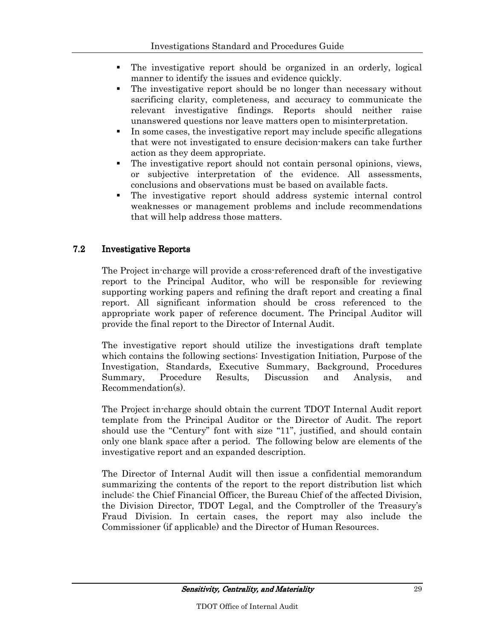- The investigative report should be organized in an orderly, logical manner to identify the issues and evidence quickly.
- The investigative report should be no longer than necessary without sacrificing clarity, completeness, and accuracy to communicate the relevant investigative findings. Reports should neither raise unanswered questions nor leave matters open to misinterpretation.
- In some cases, the investigative report may include specific allegations that were not investigated to ensure decision-makers can take further action as they deem appropriate.
- The investigative report should not contain personal opinions, views, or subjective interpretation of the evidence. All assessments, conclusions and observations must be based on available facts.
- The investigative report should address systemic internal control weaknesses or management problems and include recommendations that will help address those matters.

#### 7.2 Investigative Reports

The Project in-charge will provide a cross-referenced draft of the investigative report to the Principal Auditor, who will be responsible for reviewing supporting working papers and refining the draft report and creating a final report. All significant information should be cross referenced to the appropriate work paper of reference document. The Principal Auditor will provide the final report to the Director of Internal Audit.

The investigative report should utilize the investigations draft template which contains the following sections: Investigation Initiation, Purpose of the Investigation, Standards, Executive Summary, Background, Procedures Summary, Procedure Results, Discussion and Analysis, and Recommendation(s).

The Project in-charge should obtain the current TDOT Internal Audit report template from the Principal Auditor or the Director of Audit. The report should use the "Century" font with size "11", justified, and should contain only one blank space after a period. The following below are elements of the investigative report and an expanded description.

The Director of Internal Audit will then issue a confidential memorandum summarizing the contents of the report to the report distribution list which include: the Chief Financial Officer, the Bureau Chief of the affected Division, the Division Director, TDOT Legal, and the Comptroller of the Treasury's Fraud Division. In certain cases, the report may also include the Commissioner (if applicable) and the Director of Human Resources.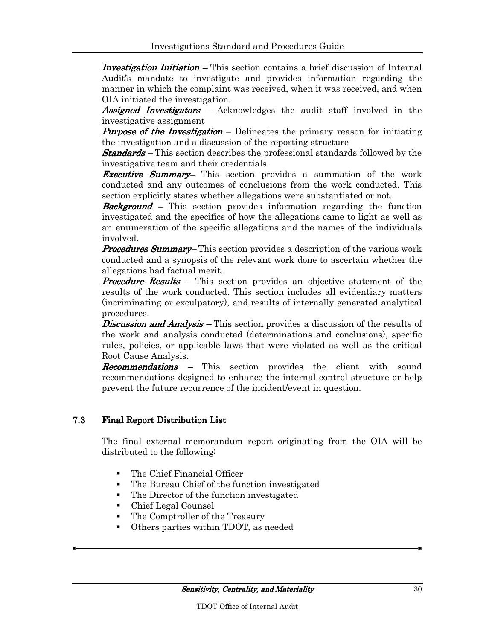Investigation Initiation – This section contains a brief discussion of Internal Audit's mandate to investigate and provides information regarding the manner in which the complaint was received, when it was received, and when OIA initiated the investigation.

Assigned Investigators – Acknowledges the audit staff involved in the investigative assignment

**Purpose of the Investigation** – Delineates the primary reason for initiating the investigation and a discussion of the reporting structure

**Standards** – This section describes the professional standards followed by the investigative team and their credentials.

**Executive Summary–** This section provides a summation of the work conducted and any outcomes of conclusions from the work conducted. This section explicitly states whether allegations were substantiated or not.

**Background** – This section provides information regarding the function investigated and the specifics of how the allegations came to light as well as an enumeration of the specific allegations and the names of the individuals involved.

**Procedures Summary–** This section provides a description of the various work conducted and a synopsis of the relevant work done to ascertain whether the allegations had factual merit.

**Procedure Results –** This section provides an objective statement of the results of the work conducted. This section includes all evidentiary matters (incriminating or exculpatory), and results of internally generated analytical procedures.

**Discussion and Analysis** – This section provides a discussion of the results of the work and analysis conducted (determinations and conclusions), specific rules, policies, or applicable laws that were violated as well as the critical Root Cause Analysis.

**Recommendations –** This section provides the client with sound recommendations designed to enhance the internal control structure or help prevent the future recurrence of the incident/event in question.

#### 7.3 Final Report Distribution List

The final external memorandum report originating from the OIA will be distributed to the following:

- The Chief Financial Officer
- The Bureau Chief of the function investigated
- The Director of the function investigated
- Chief Legal Counsel
- The Comptroller of the Treasury
- Others parties within TDOT, as needed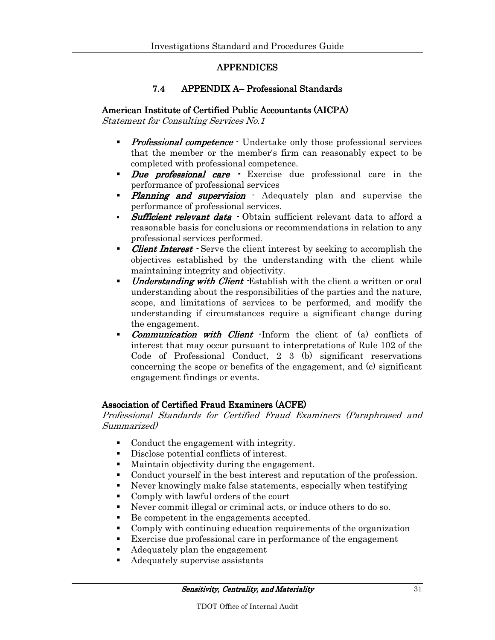#### APPENDICES APPENDICES

#### 7.4 APPENDIX A– Professional Standards

#### American Institute of Certified Public Accountants (AICPA)

Statement for Consulting Services No.1

- **Professional competence** Undertake only those professional services that the member or the member's firm can reasonably expect to be completed with professional competence.
- Due professional care Exercise due professional care in the performance of professional services
- Planning and supervision Adequately plan and supervise the performance of professional services.
- Sufficient relevant data Obtain sufficient relevant data to afford a reasonable basis for conclusions or recommendations in relation to any professional services performed.
- **Client Interest**  $\cdot$  Serve the client interest by seeking to accomplish the objectives established by the understanding with the client while maintaining integrity and objectivity.
- *Understanding with Client -* Establish with the client a written or oral understanding about the responsibilities of the parties and the nature, scope, and limitations of services to be performed, and modify the understanding if circumstances require a significant change during the engagement.
- Communication with Client -Inform the client of (a) conflicts of interest that may occur pursuant to interpretations of Rule 102 of the Code of Professional Conduct, 2 3 (b) significant reservations concerning the scope or benefits of the engagement, and (c) significant engagement findings or events.

#### Association of Certified Fraud Examiners (ACFE)

Professional Standards for Certified Fraud Examiners (Paraphrased and Summarized)

- Conduct the engagement with integrity.
- Disclose potential conflicts of interest.
- Maintain objectivity during the engagement.
- Conduct yourself in the best interest and reputation of the profession.
- Never knowingly make false statements, especially when testifying
- Comply with lawful orders of the court
- Never commit illegal or criminal acts, or induce others to do so.
- Be competent in the engagements accepted.
- Comply with continuing education requirements of the organization
- Exercise due professional care in performance of the engagement
- Adequately plan the engagement
- Adequately supervise assistants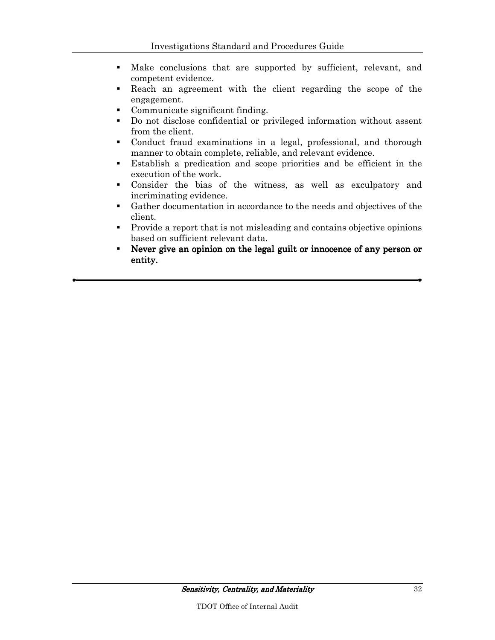- Make conclusions that are supported by sufficient, relevant, and competent evidence.
- Reach an agreement with the client regarding the scope of the engagement.
- Communicate significant finding.
- Do not disclose confidential or privileged information without assent from the client.
- Conduct fraud examinations in a legal, professional, and thorough manner to obtain complete, reliable, and relevant evidence.
- Establish a predication and scope priorities and be efficient in the execution of the work.
- Consider the bias of the witness, as well as exculpatory and incriminating evidence.
- Gather documentation in accordance to the needs and objectives of the client.
- Provide a report that is not misleading and contains objective opinions based on sufficient relevant data.
- Never give an opinion on the legal guilt or innocence of any person or entity.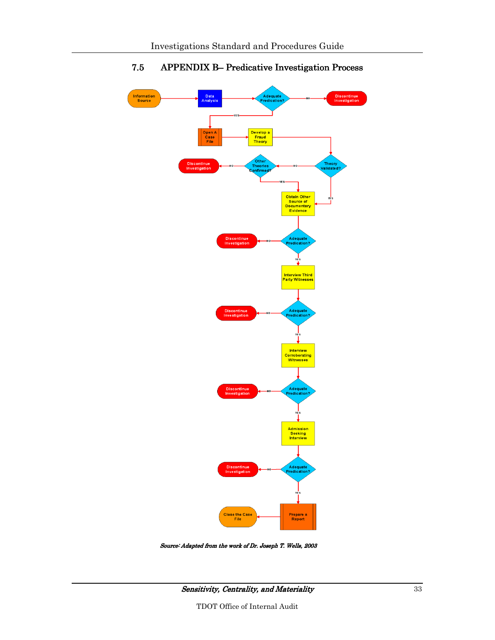

## 7.5 APPENDIX B– Predicative Investigation Process

Source: Adapted from the work of Dr. Joseph T. Wells, 2003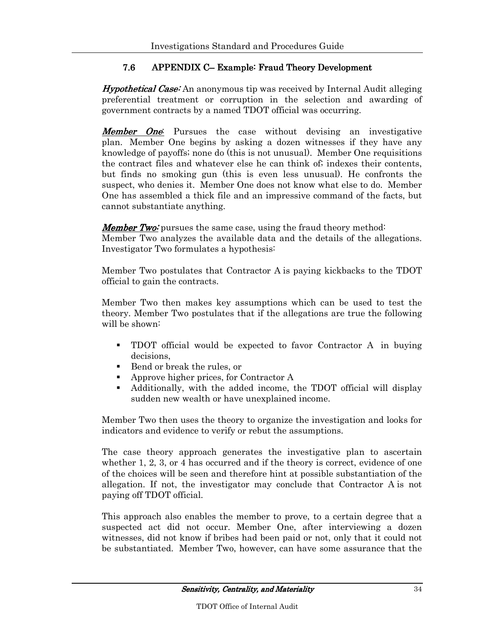## 7.6 APPENDIX C– Example: Fraud Theory Development

**Hypothetical Case:** An anonymous tip was received by Internal Audit alleging preferential treatment or corruption in the selection and awarding of government contracts by a named TDOT official was occurring.

**Member One**: Pursues the case without devising an investigative plan. Member One begins by asking a dozen witnesses if they have any knowledge of payoffs; none do (this is not unusual). Member One requisitions the contract files and whatever else he can think of; indexes their contents, but finds no smoking gun (this is even less unusual). He confronts the suspect, who denies it. Member One does not know what else to do. Member One has assembled a thick file and an impressive command of the facts, but cannot substantiate anything.

**Member Two:** pursues the same case, using the fraud theory method: Member Two analyzes the available data and the details of the allegations. Investigator Two formulates a hypothesis:

Member Two postulates that Contractor A is paying kickbacks to the TDOT official to gain the contracts.

Member Two then makes key assumptions which can be used to test the theory. Member Two postulates that if the allegations are true the following will be shown:

- TDOT official would be expected to favor Contractor A in buying decisions,
- Bend or break the rules, or
- Approve higher prices, for Contractor A
- Additionally, with the added income, the TDOT official will display sudden new wealth or have unexplained income.

Member Two then uses the theory to organize the investigation and looks for indicators and evidence to verify or rebut the assumptions.

The case theory approach generates the investigative plan to ascertain whether 1, 2, 3, or 4 has occurred and if the theory is correct, evidence of one of the choices will be seen and therefore hint at possible substantiation of the allegation. If not, the investigator may conclude that Contractor A is not paying off TDOT official.

This approach also enables the member to prove, to a certain degree that a suspected act did not occur. Member One, after interviewing a dozen witnesses, did not know if bribes had been paid or not, only that it could not be substantiated. Member Two, however, can have some assurance that the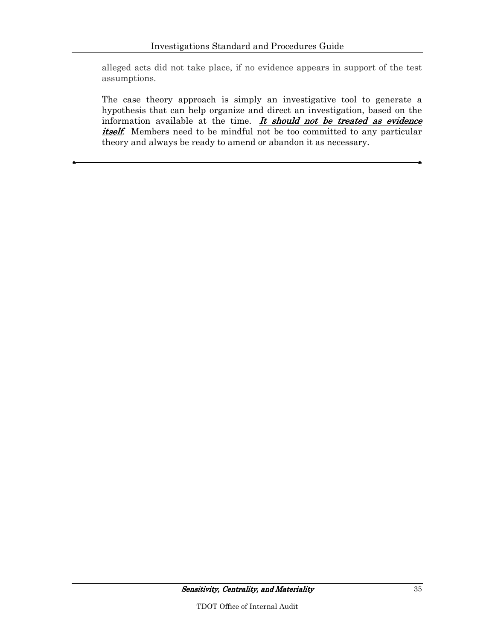alleged acts did not take place, if no evidence appears in support of the test assumptions.

The case theory approach is simply an investigative tool to generate a hypothesis that can help organize and direct an investigation, based on the information available at the time. It should not be treated as evidence itself. Members need to be mindful not be too committed to any particular theory and always be ready to amend or abandon it as necessary.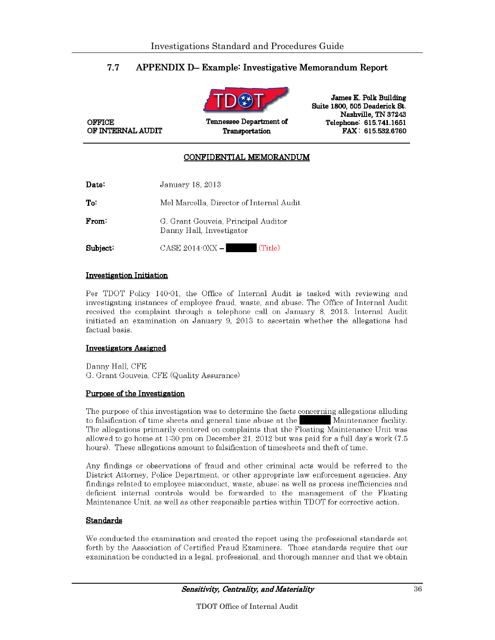#### 7.7 APPENDIX D– Example: Investigative Memorandum Report



James K. Polk Building Suite 1800, 505 Deaderick St. Nashville, TN 37243 Telephone: 615.741.1651 FAX: 615.532.6760

#### CONFIDENTIAL MEMORANDUM

Transportation

| Date:    | January 18, 2013                                                |  |  |  |
|----------|-----------------------------------------------------------------|--|--|--|
| To:      | Mel Marcella, Director of Internal Audit                        |  |  |  |
| From:    | G. Grant Gouveia, Principal Auditor<br>Danny Hall, Investigator |  |  |  |
| Subject: | (Title)<br>CASE 2014-0XX -1                                     |  |  |  |

#### **Investigation Initiation**

**OFFICE** 

OF INTERNAL AUDIT

Per TDOT Policy 140-01, the Office of Internal Audit is tasked with reviewing and investigating instances of employee fraud, waste, and abuse. The Office of Internal Audit received the complaint through a telephone call on January 8, 2013. Internal Audit initiated an examination on January 9, 2013 to ascertain whether the allegations had factual basis.

#### **Investigators Assigned**

Danny Hall, CFE G. Grant Gouveia, CFE (Quality Assurance)

#### Purpose of the Investigation

The purpose of this investigation was to determine the facts concerning allegations alluding to falsification of time sheets and general time abuse at the Maintenance facility. The allegations primarily centered on complaints that the Floating Maintenance Unit was allowed to go home at 1:30 pm on December 21, 2012 but was paid for a full day's work (7.5) hours). These allegations amount to falsification of timesheets and theft of time.

Any findings or observations of fraud and other criminal acts would be referred to the District Attorney, Police Department, or other appropriate law enforcement agencies. Any findings related to employee misconduct, waste, abuse, as well as process inefficiencies and deficient internal controls would be forwarded to the management of the Floating Maintenance Unit, as well as other responsible parties within TDOT for corrective action.

#### **Standards**

We conducted the examination and created the report using the professional standards set forth by the Association of Certified Fraud Examiners. Those standards require that our examination be conducted in a legal, professional, and thorough manner and that we obtain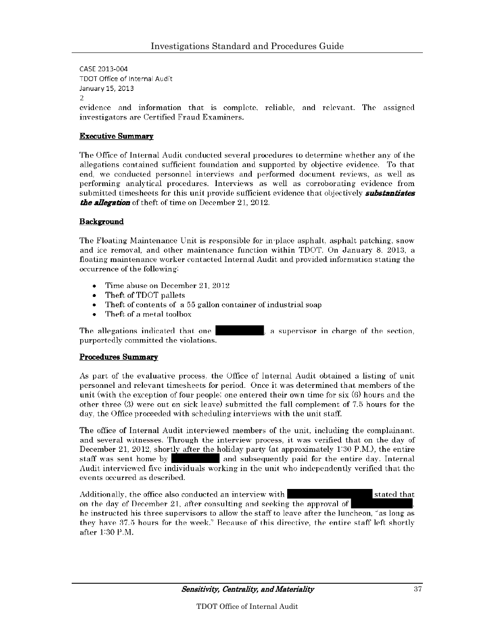CASE 2013-004 TDOT Office of Internal Audit January 15, 2013  $\mathcal{D}$ evidence and information that is complete, reliable, and relevant. The assigned investigators are Certified Fraud Examiners.

#### **Executive Summary**

The Office of Internal Audit conducted several procedures to determine whether any of the allegations contained sufficient foundation and supported by objective evidence. To that end, we conducted personnel interviews and performed document reviews, as well as performing analytical procedures. Interviews as well as corroborating evidence from submitted timesheets for this unit provide sufficient evidence that objectively **substantiates** *the allegation* of theft of time on December 21, 2012.

#### **Background**

The Floating Maintenance Unit is responsible for in place asphalt, asphalt patching, snow and ice removal, and other maintenance function within TDOT. On January 8, 2013, a floating maintenance worker contacted Internal Audit and provided information stating the occurrence of the following:

- Time abuse on December 21, 2012
- Theft of TDOT pallets
- Theft of contents of a 55 gallon container of industrial soap
- $\bullet$ Theft of a metal toolbox

The allegations indicated that one a supervisor in charge of the section, purportedly committed the violations.

#### **Procedures Summary**

As part of the evaluative process, the Office of Internal Audit obtained a listing of unit personnel and relevant timesheets for period. Once it was determined that members of the unit (with the exception of four people) one entered their own time for six (6) hours and the other three (3) were out on sick leave) submitted the full complement of 7.5 hours for the day, the Office proceeded with scheduling interviews with the unit staff.

The office of Internal Audit interviewed members of the unit, including the complainant, and several witnesses. Through the interview process, it was verified that on the day of December 21, 2012, shortly after the holiday party (at approximately 1:30 P.M.), the entire staff was sent home by and subsequently paid for the entire day. Internal Audit interviewed five individuals working in the unit who independently verified that the events occurred as described.

Additionally, the office also conducted an interview with stated that on the day of December 21, after consulting and seeking the approval of he instructed his three supervisors to allow the staff to leave after the luncheon, "as long as they have 37.5 hours for the week." Because of this directive, the entire staff left shortly after 1:30 P.M.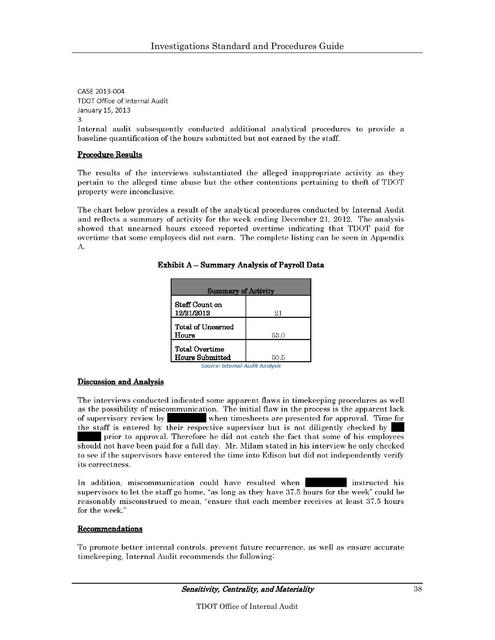CASE 2013-004 TDOT Office of Internal Audit January 15, 2013

Internal audit subsequently conducted additional analytical procedures to provide a baseline quantification of the hours submitted but not earned by the staff.

#### **Procedure Results**

The results of the interviews substantiated the alleged inappropriate activity as they pertain to the alleged time abuse but the other contentions pertaining to theft of TDOT property were inconclusive.

The chart below provides a result of the analytical procedures conducted by Internal Audit and reflects a summary of activity for the week ending December 21, 2012. The analysis showed that unearned hours exceed reported overtime indicating that TDOT paid for overtime that some employees did not earn. The complete listing can be seen in Appendix  $\mathbf{A}$ .

| <b>Summary of Activity</b>          |      |  |  |
|-------------------------------------|------|--|--|
| Staff Count on<br>12/21/2012        | 21   |  |  |
| l Total of Unearned<br>l Hours      | 53.0 |  |  |
| l Total Overtime<br>Hours Submitted | 50.5 |  |  |

**Exhibit A - Summary Analysis of Payroll Data** 

#### Source: Internal Audit Analysis

#### **Discussion and Analysis**

The interviews conducted indicated some apparent flaws in timekeeping procedures as well as the possibility of miscommunication. The initial flaw in the process is the apparent lack of supervisory review by when timesheets are presented for approval. Time for the staff is entered by their respective supervisor but is not diligently checked by prior to approval. Therefore he did not catch the fact that some of his employees should not have been paid for a full day. Mr. Milam stated in his interview he only checked to see if the supervisors have entered the time into Edison but did not independently verify its correctness.

In addition, miscommunication could have resulted when instructed his supervisors to let the staff go home, "as long as they have 37.5 hours for the week" could be reasonably misconstrued to mean, "ensure that each member receives at least 37.5 hours for the week."

#### **Recommendations**

To promote better internal controls, prevent future recurrence, as well as ensure accurate timekeeping, Internal Audit recommends the following.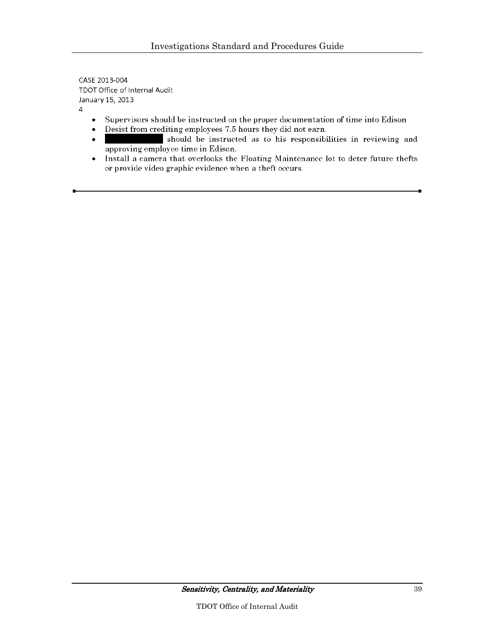CASE 2013-004 TDOT Office of Internal Audit January 15, 2013

 $\overline{4}$ 

- Supervisors should be instructed on the proper documentation of time into Edison  $\bullet$
- Desist from crediting employees 7.5 hours they did not earn.  $\bullet$
- should be instructed as to his responsibilities in reviewing and  $\bullet$ approving employee time in Edison.
- Install a camera that overlooks the Floating Maintenance lot to deter future thefts  $\bullet$ or provide video graphic evidence when a theft occurs.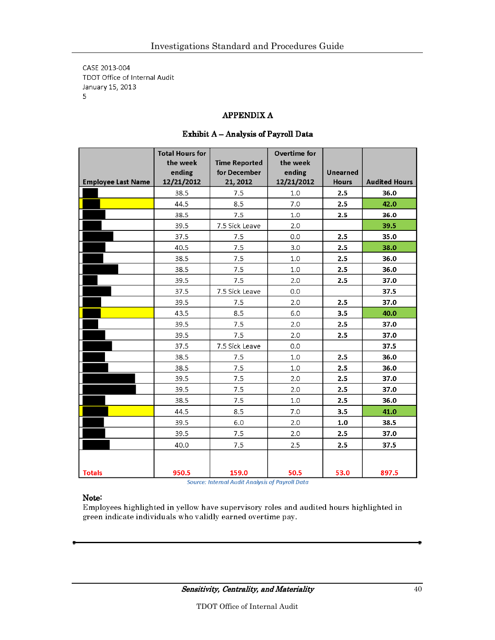CASE 2013-004 TDOT Office of Internal Audit January 15, 2013 5

#### **APPENDIX A**

|                           | <b>Total Hours for</b><br>the week<br>ending | <b>Time Reported</b><br>for December | Overtime for<br>the week<br>ending | Unearned     |                      |
|---------------------------|----------------------------------------------|--------------------------------------|------------------------------------|--------------|----------------------|
| <b>Employee Last Name</b> | 12/21/2012                                   | 21, 2012                             | 12/21/2012                         | <b>Hours</b> | <b>Audited Hours</b> |
|                           | 38.5                                         | 7.5                                  | 1.0                                | 2.5          | 36.0                 |
|                           | 44.5                                         | 8.5                                  | 7.0                                | 2.5          | 42.0                 |
|                           | 38.5                                         | 7.5                                  | 1.0                                | 2.5          | 36.0                 |
|                           | 39.5                                         | 7.5 Sick Leave                       | 2.0                                |              | 39.5                 |
|                           | 37.5                                         | 7.5                                  | 0.0                                | 2.5          | 35.0                 |
|                           | 40.5                                         | 7.5                                  | 3.0                                | 2.5          | 38.0                 |
|                           | 38.5                                         | 7.5                                  | 1.0                                | 2.5          | 36.0                 |
|                           | 38.5                                         | 7.5                                  | 1.0                                | 2.5          | 36.0                 |
|                           | 39.5                                         | 7.5                                  | 2.0                                | 2.5          | 37.0                 |
|                           | 37.5                                         | 7.5 Sick Leave                       | 0.0                                |              | 37.5                 |
|                           | 39.5                                         | 7.5                                  | 2.0                                | 2.5          | 37.0                 |
|                           | 43.5                                         | 8.5                                  | 6.0                                | 3.5          | 40.0                 |
|                           | 39.5                                         | 7.5                                  | 2.0                                | 2.5          | 37.0                 |
|                           | 39.5                                         | 7.5                                  | 2.0                                | 2.5          | 37.0                 |
|                           | 37.5                                         | 7.5 Sick Leave                       | 0.0                                |              | 37.5                 |
|                           | 38.5                                         | 7.5                                  | 1.0                                | 2.5          | 36.0                 |
|                           | 38.5                                         | 7.5                                  | 1.0                                | 2.5          | 36.0                 |
|                           | 39.5                                         | 7.5                                  | 2.0                                | 2.5          | 37.0                 |
|                           | 39.5                                         | 7.5                                  | 2.0                                | 2.5          | 37.0                 |
|                           | 38.5                                         | 7.5                                  | 1.0                                | 2.5          | 36.0                 |
|                           | 44.5                                         | 8.5                                  | 7.0                                | 3.5          | 41.0                 |
|                           | 39.5                                         | 6.0                                  | 2.0                                | 1.0          | 38.5                 |
|                           | 39.5                                         | 7.5                                  | 2.0                                | 2.5          | 37.0                 |
|                           | 40.0                                         | 7.5                                  | 2.5                                | 2.5          | 37.5                 |
|                           |                                              |                                      |                                    |              |                      |
| <b>Totals</b>             | 950.5                                        | 159.0                                | 50.5                               | 53.0         | 897.5                |

#### Exhibit A - Analysis of Payroll Data

**Source: Internal Audit Analysis of Payroll Data** 

#### Note:

Employees highlighted in yellow have supervisory roles and audited hours highlighted in green indicate individuals who validly earned overtime pay.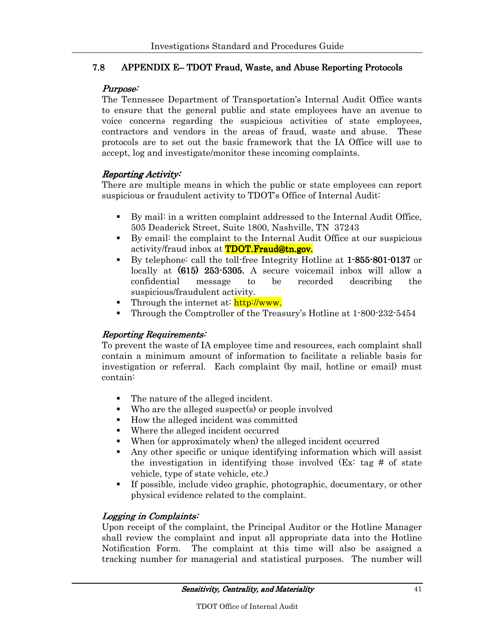#### 7.8 APPENDIX E– TDOT Fraud, Waste, and Abuse Reporting Protocols

#### Purpose:

The Tennessee Department of Transportation's Internal Audit Office wants to ensure that the general public and state employees have an avenue to voice concerns regarding the suspicious activities of state employees, contractors and vendors in the areas of fraud, waste and abuse. These protocols are to set out the basic framework that the IA Office will use to accept, log and investigate/monitor these incoming complaints.

#### Reporting Activity:

There are multiple means in which the public or state employees can report suspicious or fraudulent activity to TDOT's Office of Internal Audit:

- By mail: in a written complaint addressed to the Internal Audit Office, 505 Deaderick Street, Suite 1800, Nashville, TN 37243
- By email: the complaint to the Internal Audit Office at our suspicious activity/fraud inbox at **TDOT.Fraud@tn.gov.**
- By telephone: call the toll-free Integrity Hotline at 1-855-801-0137 or locally at (615) 253 253-5305. A secure voicemail inbox will allow a confidential message to be recorded describing the suspicious/fraudulent activity.
- Through the internet at:  $\frac{http://www.}{http://www.}$
- Through the Comptroller of the Treasury's Hotline at 1-800-232-5454

#### Reporting Requirements:

To prevent the waste of IA employee time and resources, each complaint shall contain a minimum amount of information to facilitate a reliable basis for investigation or referral. Each complaint (by mail, hotline or email) must contain:

- The nature of the alleged incident.
- Who are the alleged suspect(s) or people involved
- How the alleged incident was committed
- Where the alleged incident occurred
- When (or approximately when) the alleged incident occurred
- Any other specific or unique identifying information which will assist the investigation in identifying those involved (Ex: tag # of state vehicle, type of state vehicle, etc.)
- If possible, include video graphic, photographic, documentary, or other physical evidence related to the complaint.

#### Logging in Complaints:

Upon receipt of the complaint, the Principal Auditor or the Hotline Manager shall review the complaint and input all appropriate data into the Hotline Notification Form. The complaint at this time will also be assigned a tracking number for managerial and statistical purposes. The number will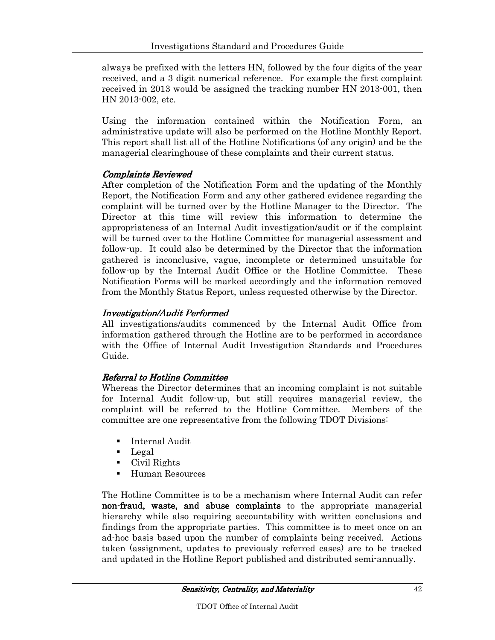always be prefixed with the letters HN, followed by the four digits of the year received, and a 3 digit numerical reference. For example the first complaint received in 2013 would be assigned the tracking number HN 2013-001, then HN 2013-002, etc.

Using the information contained within the Notification Form, an administrative update will also be performed on the Hotline Monthly Report. This report shall list all of the Hotline Notifications (of any origin) and be the managerial clearinghouse of these complaints and their current status.

#### Complaints Reviewed

After completion of the Notification Form and the updating of the Monthly Report, the Notification Form and any other gathered evidence regarding the complaint will be turned over by the Hotline Manager to the Director. The Director at this time will review this information to determine the appropriateness of an Internal Audit investigation/audit or if the complaint will be turned over to the Hotline Committee for managerial assessment and follow-up. It could also be determined by the Director that the information gathered is inconclusive, vague, incomplete or determined unsuitable for follow-up by the Internal Audit Office or the Hotline Committee. These Notification Forms will be marked accordingly and the information removed from the Monthly Status Report, unless requested otherwise by the Director.

## **Investigation/Audit Performed**

All investigations/audits commenced by the Internal Audit Office from information gathered through the Hotline are to be performed in accordance with the Office of Internal Audit Investigation Standards and Procedures Guide.

#### Referral to Hotline Committee

Whereas the Director determines that an incoming complaint is not suitable for Internal Audit follow-up, but still requires managerial review, the complaint will be referred to the Hotline Committee. Members of the committee are one representative from the following TDOT Divisions:

- **Internal Audit**
- Legal
- Civil Rights
- **Human Resources**

The Hotline Committee is to be a mechanism where Internal Audit can refer non-fraud, waste, and abuse complaints to the appropriate managerial hierarchy while also requiring accountability with written conclusions and findings from the appropriate parties. This committee is to meet once on an ad-hoc basis based upon the number of complaints being received. Actions taken (assignment, updates to previously referred cases) are to be tracked and updated in the Hotline Report published and distributed semi-annually.